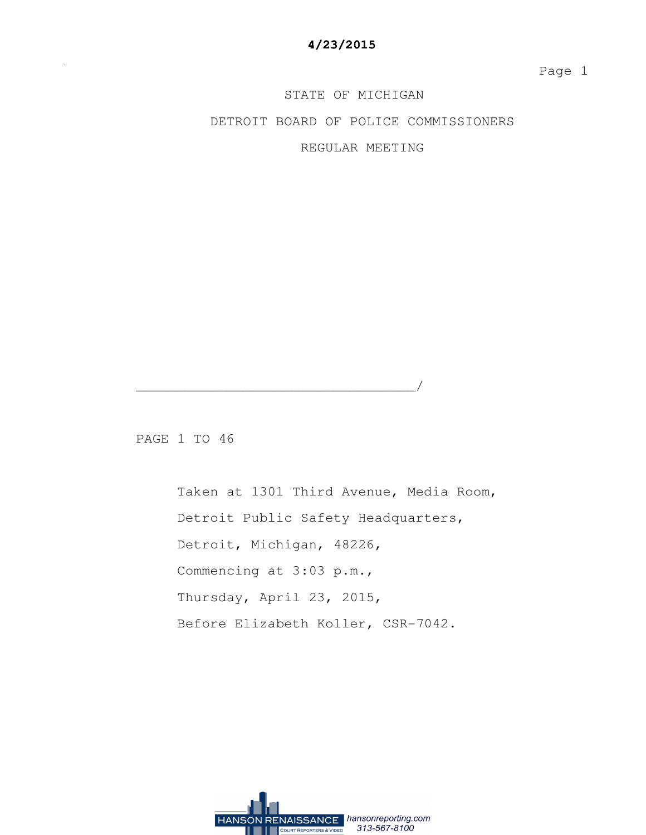STATE OF MICHIGAN DETROIT BOARD OF POLICE COMMISSIONERS REGULAR MEETING

PAGE 1 TO 46

 Taken at 1301 Third Avenue, Media Room, Detroit Public Safety Headquarters, Detroit, Michigan, 48226, Commencing at 3:03 p.m., Thursday, April 23, 2015, Before Elizabeth Koller, CSR-7042.

\_\_\_\_\_\_\_\_\_\_\_\_\_\_\_\_\_\_\_\_\_\_\_\_\_\_\_\_\_\_\_\_\_\_/

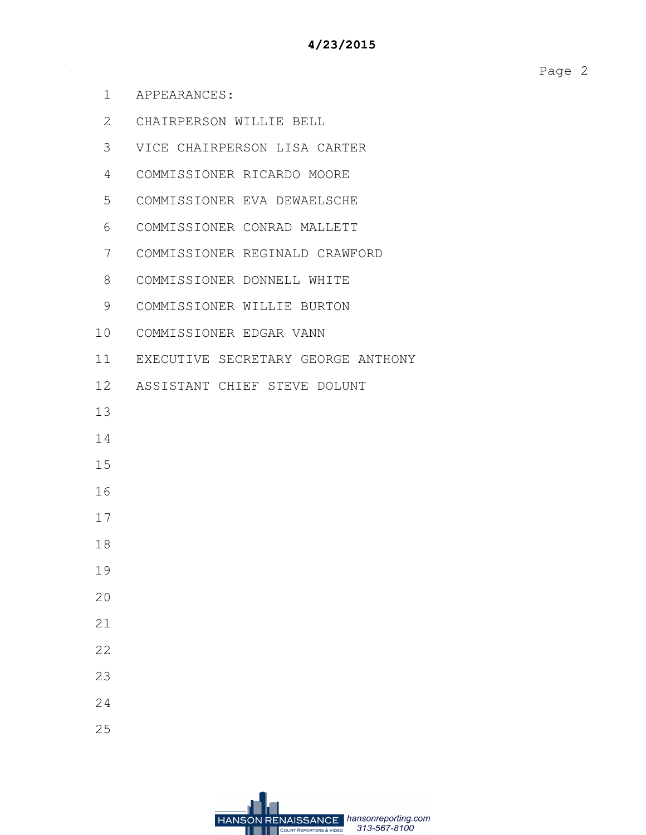- 1 APPEARANCES:
- 2 CHAIRPERSON WILLIE BELL
- 3 VICE CHAIRPERSON LISA CARTER
- 4 COMMISSIONER RICARDO MOORE
- 5 COMMISSIONER EVA DEWAELSCHE
- 6 COMMISSIONER CONRAD MALLETT
- 7 COMMISSIONER REGINALD CRAWFORD
- 8 COMMISSIONER DONNELL WHITE
- 9 COMMISSIONER WILLIE BURTON
- 10 COMMISSIONER EDGAR VANN
- 11 EXECUTIVE SECRETARY GEORGE ANTHONY
- 12 ASSISTANT CHIEF STEVE DOLUNT
- 13
- 14
- 15
- 16
- 17
- 18
- 
- 19
- 20
- 21
- 22
- 
- 23
- 24
- 25

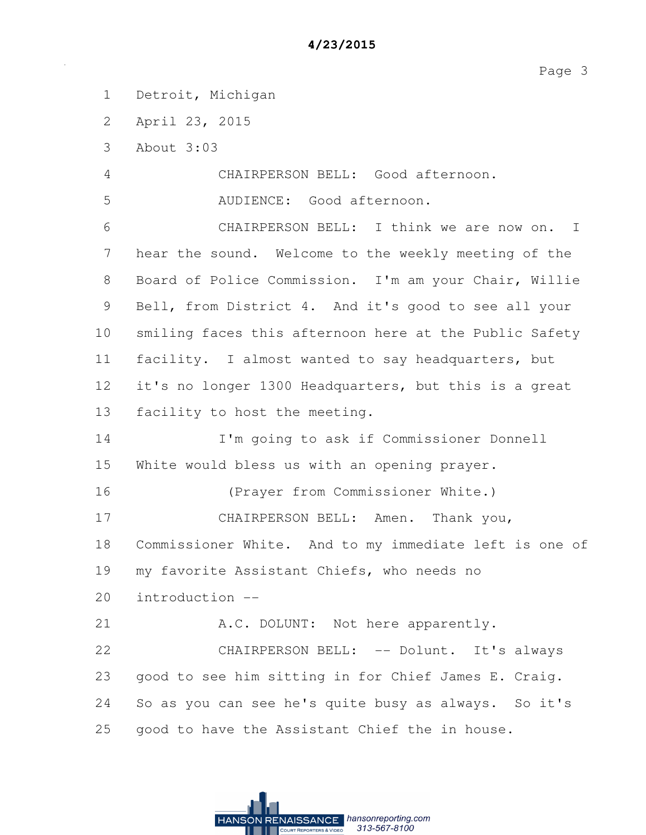1 Detroit, Michigan

2 April 23, 2015

3 About 3:03

4 CHAIRPERSON BELL: Good afternoon.

5 AUDIENCE: Good afternoon.

6 CHAIRPERSON BELL: I think we are now on. I 7 hear the sound. Welcome to the weekly meeting of the 8 Board of Police Commission. I'm am your Chair, Willie 9 Bell, from District 4. And it's good to see all your 10 smiling faces this afternoon here at the Public Safety 11 facility. I almost wanted to say headquarters, but 12 it's no longer 1300 Headquarters, but this is a great 13 facility to host the meeting.

14 I'm going to ask if Commissioner Donnell 15 White would bless us with an opening prayer.

16 (Prayer from Commissioner White.)

17 CHAIRPERSON BELL: Amen. Thank you,

18 Commissioner White. And to my immediate left is one of

19 my favorite Assistant Chiefs, who needs no

20 introduction --

21 A.C. DOLUNT: Not here apparently.

22 CHAIRPERSON BELL: -- Dolunt. It's always 23 good to see him sitting in for Chief James E. Craig. 24 So as you can see he's quite busy as always. So it's 25 good to have the Assistant Chief the in house.

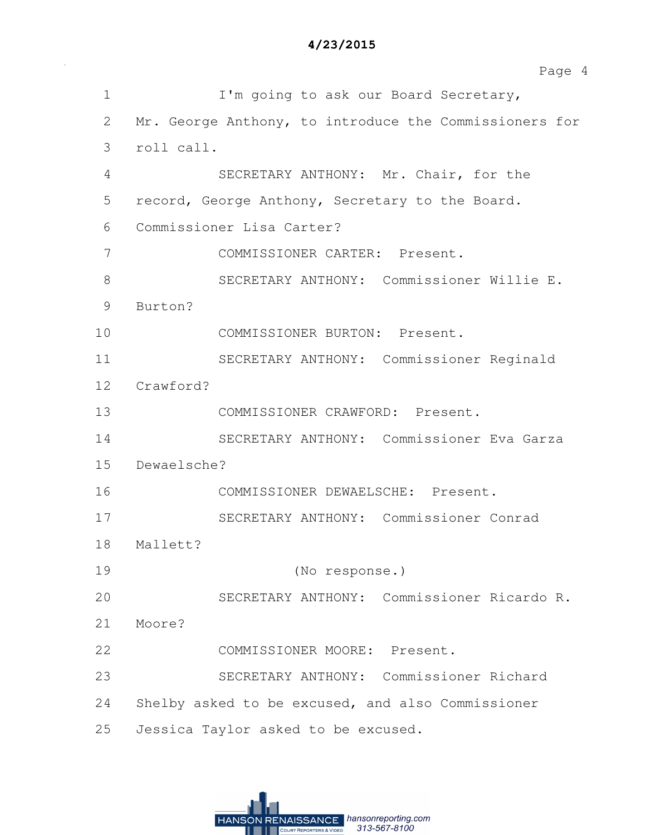1 I'm going to ask our Board Secretary, 2 Mr. George Anthony, to introduce the Commissioners for 3 roll call. 4 SECRETARY ANTHONY: Mr. Chair, for the 5 record, George Anthony, Secretary to the Board. 6 Commissioner Lisa Carter? 7 COMMISSIONER CARTER: Present. 8 SECRETARY ANTHONY: Commissioner Willie E. 9 Burton? 10 COMMISSIONER BURTON: Present. 11 SECRETARY ANTHONY: Commissioner Reginald 12 Crawford? 13 COMMISSIONER CRAWFORD: Present. 14 SECRETARY ANTHONY: Commissioner Eva Garza 15 Dewaelsche? 16 COMMISSIONER DEWAELSCHE: Present. 17 SECRETARY ANTHONY: Commissioner Conrad 18 Mallett? 19 (No response.) 20 SECRETARY ANTHONY: Commissioner Ricardo R. 21 Moore? 22 COMMISSIONER MOORE: Present. 23 SECRETARY ANTHONY: Commissioner Richard 24 Shelby asked to be excused, and also Commissioner 25 Jessica Taylor asked to be excused.

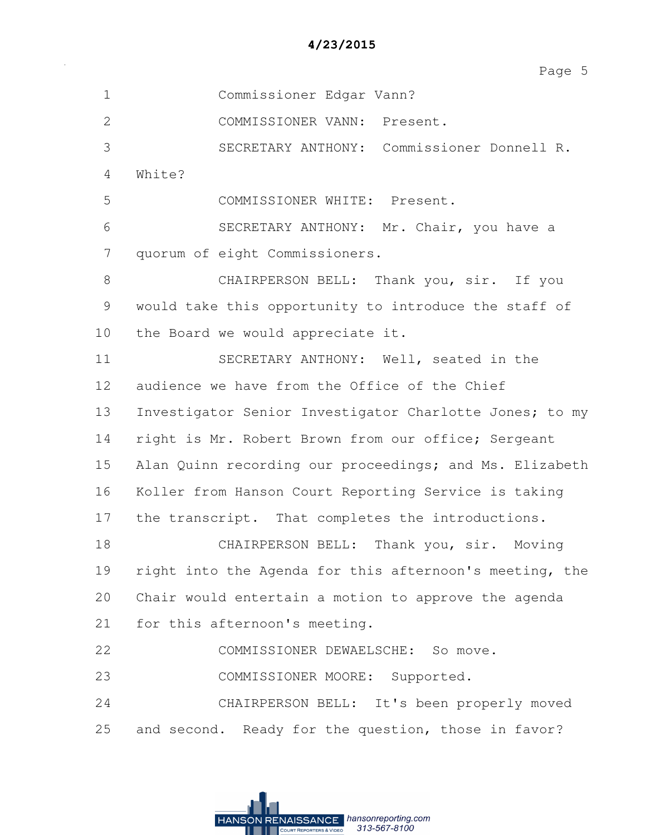| $\mathbf 1$    | Commissioner Edgar Vann?                                |
|----------------|---------------------------------------------------------|
| $\overline{2}$ | COMMISSIONER VANN: Present.                             |
| 3              | SECRETARY ANTHONY: Commissioner Donnell R.              |
| 4              | White?                                                  |
| 5              | COMMISSIONER WHITE: Present.                            |
| 6              | SECRETARY ANTHONY: Mr. Chair, you have a                |
| 7              | quorum of eight Commissioners.                          |
| 8              | CHAIRPERSON BELL: Thank you, sir. If you                |
| 9              | would take this opportunity to introduce the staff of   |
| 10             | the Board we would appreciate it.                       |
| 11             | SECRETARY ANTHONY: Well, seated in the                  |
| 12             | audience we have from the Office of the Chief           |
| 13             | Investigator Senior Investigator Charlotte Jones; to my |
| 14             | right is Mr. Robert Brown from our office; Sergeant     |
| 15             | Alan Quinn recording our proceedings; and Ms. Elizabeth |
| 16             | Koller from Hanson Court Reporting Service is taking    |
| 17             | the transcript. That completes the introductions.       |
| 18             | CHAIRPERSON BELL: Thank you, sir. Moving                |
| 19             | right into the Agenda for this afternoon's meeting, the |
| 20             | Chair would entertain a motion to approve the agenda    |
| 21             | for this afternoon's meeting.                           |
| 22             | COMMISSIONER DEWAELSCHE: So move.                       |
| 23             | COMMISSIONER MOORE: Supported.                          |
| 24             | CHAIRPERSON BELL: It's been properly moved              |
| 25             | and second. Ready for the question, those in favor?     |

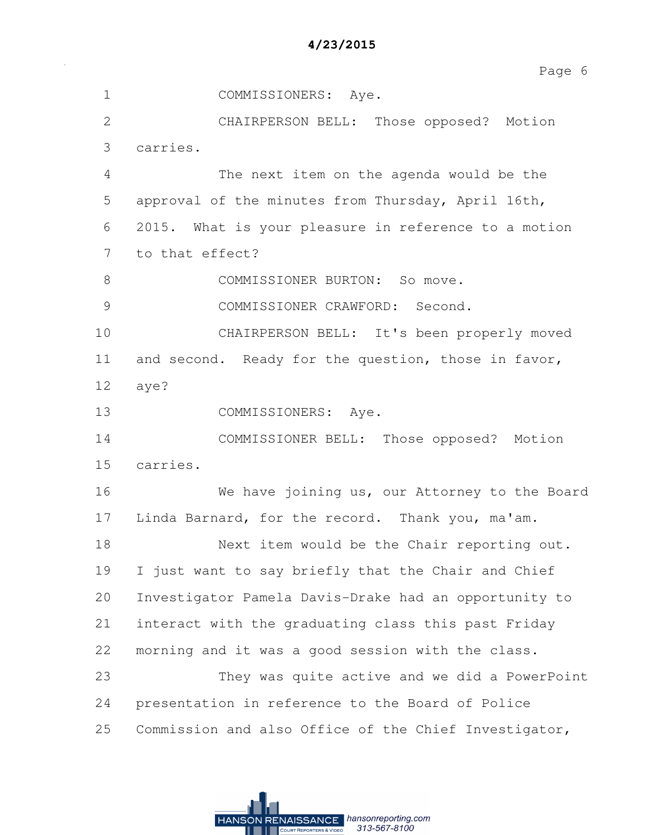| 4/23/2015 |  |  |  |
|-----------|--|--|--|
|-----------|--|--|--|

1 COMMISSIONERS: Aye. 2 CHAIRPERSON BELL: Those opposed? Motion 3 carries. 4 The next item on the agenda would be the 5 approval of the minutes from Thursday, April 16th, 6 2015. What is your pleasure in reference to a motion 7 to that effect? 8 COMMISSIONER BURTON: So move. 9 COMMISSIONER CRAWFORD: Second. 10 CHAIRPERSON BELL: It's been properly moved 11 and second. Ready for the question, those in favor, 12 aye? 13 COMMISSIONERS: Aye. 14 COMMISSIONER BELL: Those opposed? Motion 15 carries. 16 We have joining us, our Attorney to the Board 17 Linda Barnard, for the record. Thank you, ma'am. 18 Next item would be the Chair reporting out. 19 I just want to say briefly that the Chair and Chief 20 Investigator Pamela Davis-Drake had an opportunity to 21 interact with the graduating class this past Friday 22 morning and it was a good session with the class. 23 They was quite active and we did a PowerPoint 24 presentation in reference to the Board of Police 25 Commission and also Office of the Chief Investigator,

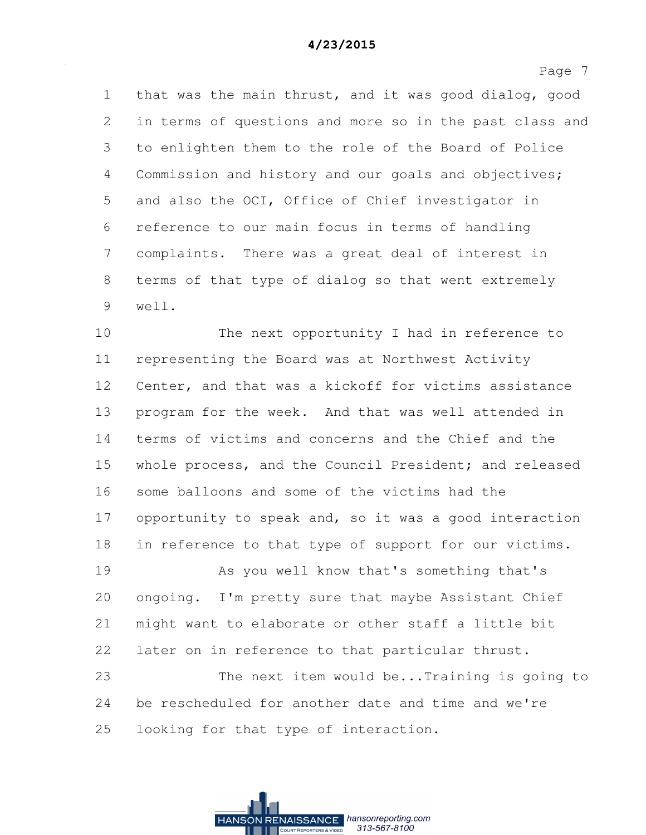1 that was the main thrust, and it was good dialog, good 2 in terms of questions and more so in the past class and 3 to enlighten them to the role of the Board of Police 4 Commission and history and our goals and objectives; 5 and also the OCI, Office of Chief investigator in 6 reference to our main focus in terms of handling 7 complaints. There was a great deal of interest in 8 terms of that type of dialog so that went extremely 9 well.

10 The next opportunity I had in reference to 11 representing the Board was at Northwest Activity 12 Center, and that was a kickoff for victims assistance 13 program for the week. And that was well attended in 14 terms of victims and concerns and the Chief and the 15 whole process, and the Council President; and released 16 some balloons and some of the victims had the 17 opportunity to speak and, so it was a good interaction 18 in reference to that type of support for our victims.

19 As you well know that's something that's 20 ongoing. I'm pretty sure that maybe Assistant Chief 21 might want to elaborate or other staff a little bit 22 later on in reference to that particular thrust.

23 The next item would be...Training is going to 24 be rescheduled for another date and time and we're 25 looking for that type of interaction.

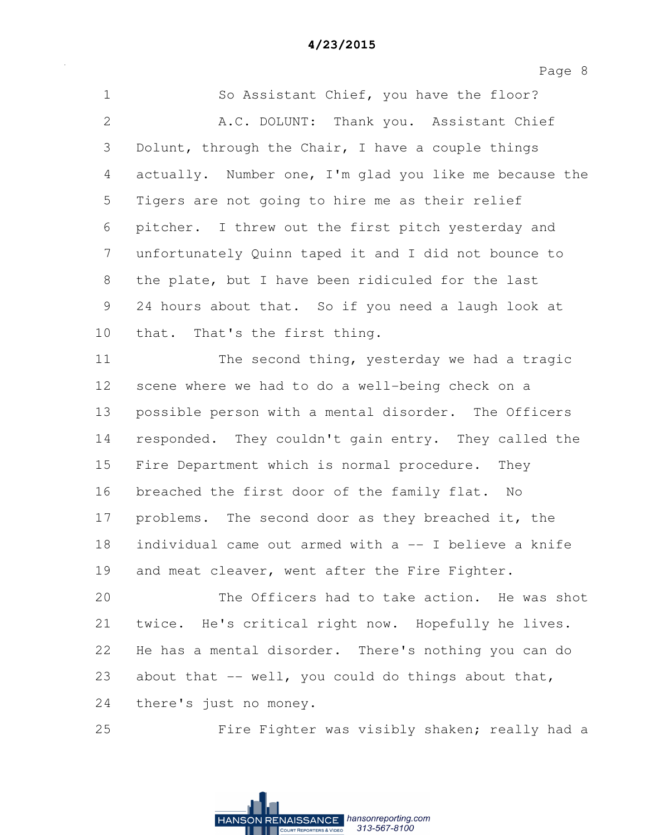1 So Assistant Chief, you have the floor? 2 A.C. DOLUNT: Thank you. Assistant Chief 3 Dolunt, through the Chair, I have a couple things 4 actually. Number one, I'm glad you like me because the 5 Tigers are not going to hire me as their relief 6 pitcher. I threw out the first pitch yesterday and 7 unfortunately Quinn taped it and I did not bounce to 8 the plate, but I have been ridiculed for the last 9 24 hours about that. So if you need a laugh look at 10 that. That's the first thing.

11 The second thing, yesterday we had a tragic 12 scene where we had to do a well-being check on a 13 possible person with a mental disorder. The Officers 14 responded. They couldn't gain entry. They called the 15 Fire Department which is normal procedure. They 16 breached the first door of the family flat. No 17 problems. The second door as they breached it, the 18 individual came out armed with a -- I believe a knife 19 and meat cleaver, went after the Fire Fighter.

20 The Officers had to take action. He was shot 21 twice. He's critical right now. Hopefully he lives. 22 He has a mental disorder. There's nothing you can do 23 about that -- well, you could do things about that, 24 there's just no money.

25 Fire Fighter was visibly shaken; really had a

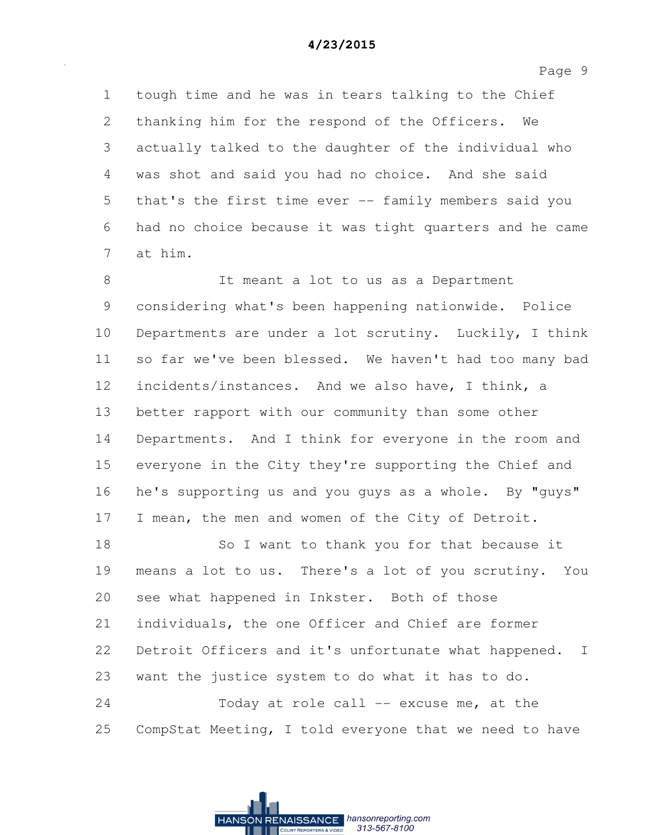1 tough time and he was in tears talking to the Chief 2 thanking him for the respond of the Officers. We 3 actually talked to the daughter of the individual who 4 was shot and said you had no choice. And she said 5 that's the first time ever -- family members said you 6 had no choice because it was tight quarters and he came 7 at him.

8 It meant a lot to us as a Department 9 considering what's been happening nationwide. Police 10 Departments are under a lot scrutiny. Luckily, I think 11 so far we've been blessed. We haven't had too many bad 12 incidents/instances. And we also have, I think, a 13 better rapport with our community than some other 14 Departments. And I think for everyone in the room and 15 everyone in the City they're supporting the Chief and 16 he's supporting us and you guys as a whole. By "guys" 17 I mean, the men and women of the City of Detroit.

18 So I want to thank you for that because it 19 means a lot to us. There's a lot of you scrutiny. You 20 see what happened in Inkster. Both of those 21 individuals, the one Officer and Chief are former 22 Detroit Officers and it's unfortunate what happened. I 23 want the justice system to do what it has to do. 24 Today at role call -- excuse me, at the

25 CompStat Meeting, I told everyone that we need to have

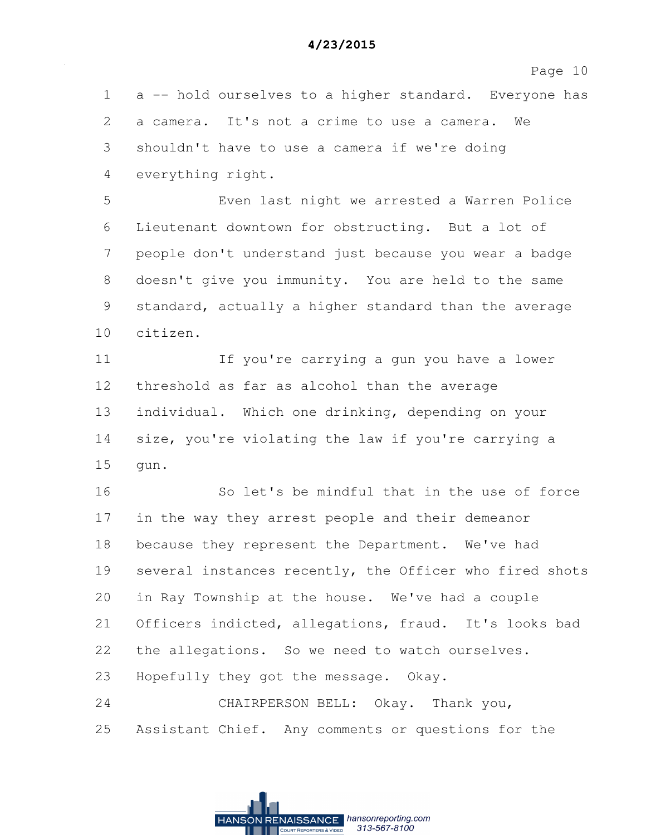1 a -- hold ourselves to a higher standard. Everyone has 2 a camera. It's not a crime to use a camera. We 3 shouldn't have to use a camera if we're doing 4 everything right.

5 Even last night we arrested a Warren Police 6 Lieutenant downtown for obstructing. But a lot of 7 people don't understand just because you wear a badge 8 doesn't give you immunity. You are held to the same 9 standard, actually a higher standard than the average 10 citizen.

11 If you're carrying a gun you have a lower 12 threshold as far as alcohol than the average 13 individual. Which one drinking, depending on your 14 size, you're violating the law if you're carrying a 15 gun.

16 So let's be mindful that in the use of force 17 in the way they arrest people and their demeanor 18 because they represent the Department. We've had 19 several instances recently, the Officer who fired shots 20 in Ray Township at the house. We've had a couple 21 Officers indicted, allegations, fraud. It's looks bad 22 the allegations. So we need to watch ourselves. 23 Hopefully they got the message. Okay. 24 CHAIRPERSON BELL: Okay. Thank you,

25 Assistant Chief. Any comments or questions for the

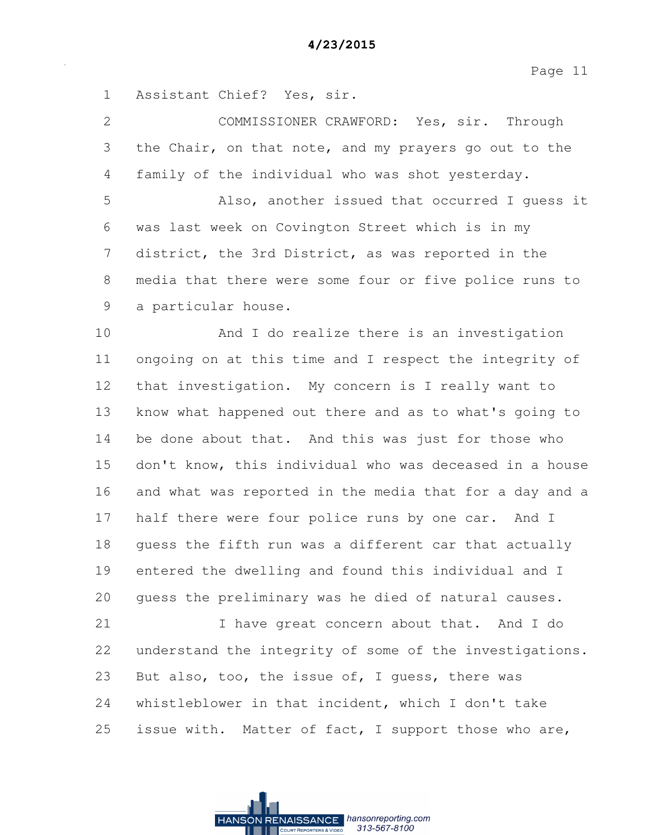1 Assistant Chief? Yes, sir.

2 COMMISSIONER CRAWFORD: Yes, sir. Through 3 the Chair, on that note, and my prayers go out to the 4 family of the individual who was shot yesterday. 5 Also, another issued that occurred I guess it 6 was last week on Covington Street which is in my 7 district, the 3rd District, as was reported in the 8 media that there were some four or five police runs to 9 a particular house. 10 And I do realize there is an investigation 11 ongoing on at this time and I respect the integrity of 12 that investigation. My concern is I really want to 13 know what happened out there and as to what's going to 14 be done about that. And this was just for those who 15 don't know, this individual who was deceased in a house 16 and what was reported in the media that for a day and a 17 half there were four police runs by one car. And I 18 guess the fifth run was a different car that actually 19 entered the dwelling and found this individual and I 20 guess the preliminary was he died of natural causes. 21 I have great concern about that. And I do 22 understand the integrity of some of the investigations. 23 But also, too, the issue of, I guess, there was

24 whistleblower in that incident, which I don't take 25 issue with. Matter of fact, I support those who are,

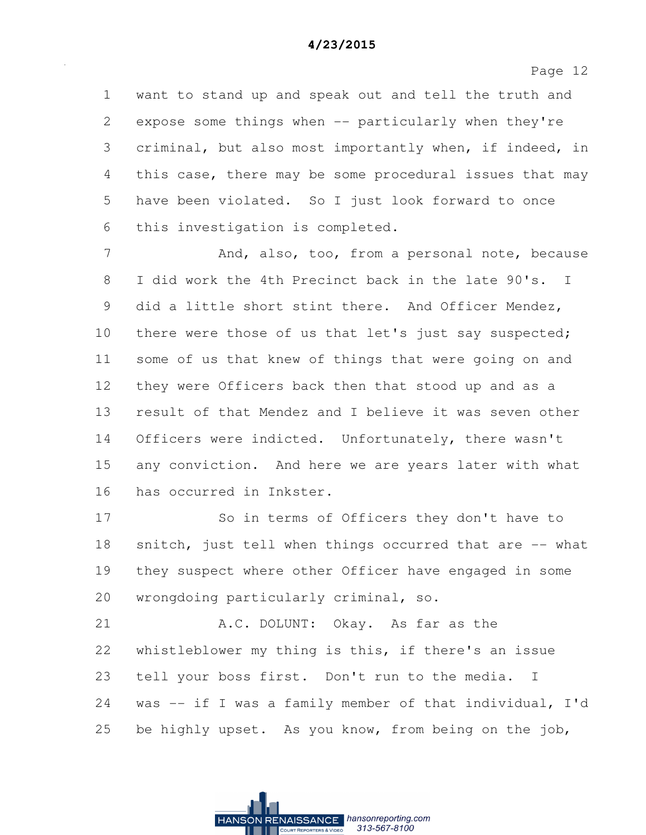1 want to stand up and speak out and tell the truth and 2 expose some things when -- particularly when they're 3 criminal, but also most importantly when, if indeed, in 4 this case, there may be some procedural issues that may 5 have been violated. So I just look forward to once 6 this investigation is completed.

7 And, also, too, from a personal note, because 8 I did work the 4th Precinct back in the late 90's. I 9 did a little short stint there. And Officer Mendez, 10 there were those of us that let's just say suspected; 11 some of us that knew of things that were going on and 12 they were Officers back then that stood up and as a 13 result of that Mendez and I believe it was seven other 14 Officers were indicted. Unfortunately, there wasn't 15 any conviction. And here we are years later with what 16 has occurred in Inkster.

17 So in terms of Officers they don't have to 18 snitch, just tell when things occurred that are -- what 19 they suspect where other Officer have engaged in some 20 wrongdoing particularly criminal, so.

21 A.C. DOLUNT: Okay. As far as the 22 whistleblower my thing is this, if there's an issue 23 tell your boss first. Don't run to the media. I 24 was -- if I was a family member of that individual, I'd 25 be highly upset. As you know, from being on the job,

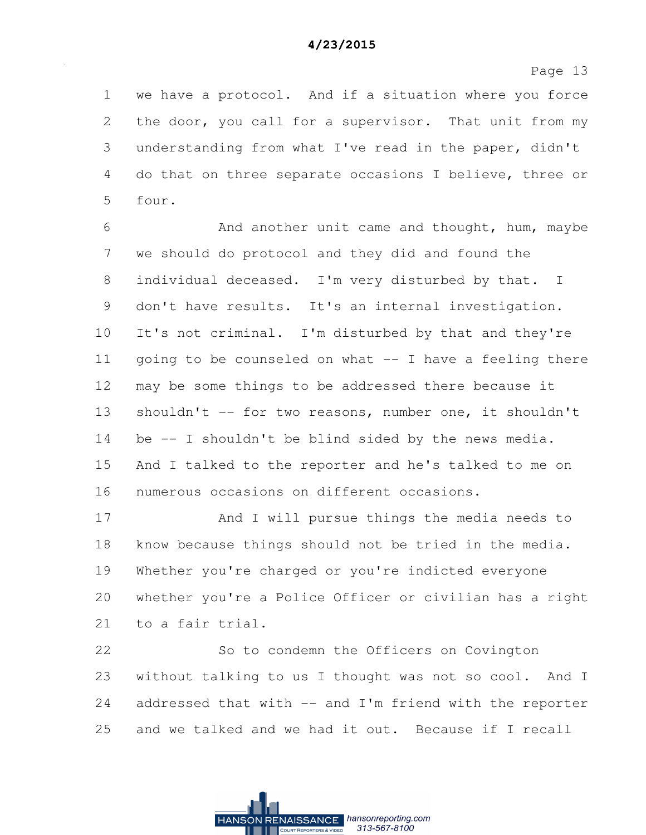1 we have a protocol. And if a situation where you force 2 the door, you call for a supervisor. That unit from my 3 understanding from what I've read in the paper, didn't 4 do that on three separate occasions I believe, three or 5 four.

6 And another unit came and thought, hum, maybe 7 we should do protocol and they did and found the 8 individual deceased. I'm very disturbed by that. I 9 don't have results. It's an internal investigation. 10 It's not criminal. I'm disturbed by that and they're 11 going to be counseled on what -- I have a feeling there 12 may be some things to be addressed there because it 13 shouldn't -- for two reasons, number one, it shouldn't 14 be -- I shouldn't be blind sided by the news media. 15 And I talked to the reporter and he's talked to me on 16 numerous occasions on different occasions.

17 And I will pursue things the media needs to 18 know because things should not be tried in the media. 19 Whether you're charged or you're indicted everyone 20 whether you're a Police Officer or civilian has a right 21 to a fair trial.

22 So to condemn the Officers on Covington 23 without talking to us I thought was not so cool. And I 24 addressed that with -- and I'm friend with the reporter 25 and we talked and we had it out. Because if I recall

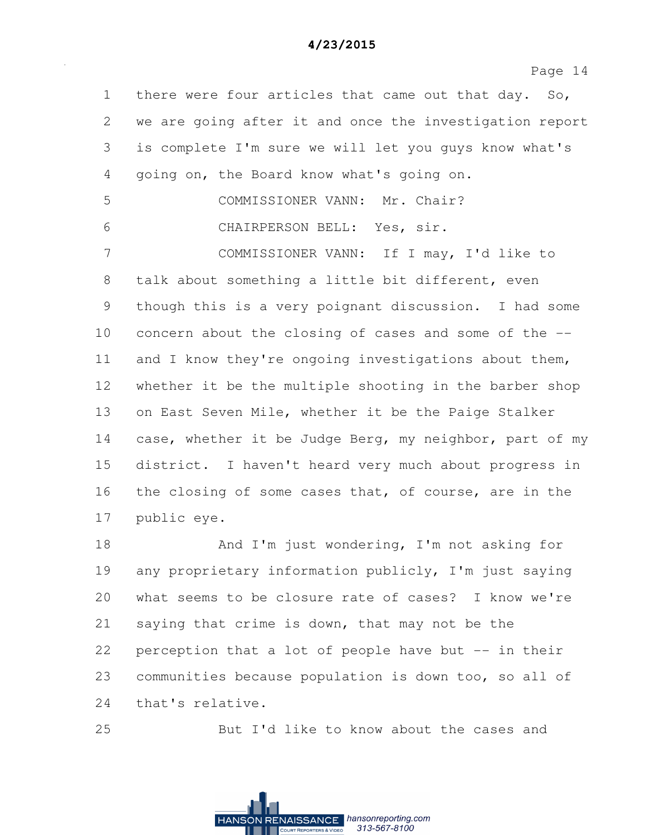| $\mathbf 1$ | there were four articles that came out that day. So,    |
|-------------|---------------------------------------------------------|
| 2           | we are going after it and once the investigation report |
| 3           | is complete I'm sure we will let you guys know what's   |
| 4           | going on, the Board know what's going on.               |
| 5           | COMMISSIONER VANN: Mr. Chair?                           |
| 6           | CHAIRPERSON BELL: Yes, sir.                             |
| 7           | COMMISSIONER VANN: If I may, I'd like to                |
| 8           | talk about something a little bit different, even       |
| 9           | though this is a very poignant discussion. I had some   |
| 10          | concern about the closing of cases and some of the --   |
| 11          | and I know they're ongoing investigations about them,   |
| 12          | whether it be the multiple shooting in the barber shop  |
| 13          | on East Seven Mile, whether it be the Paige Stalker     |
| 14          | case, whether it be Judge Berg, my neighbor, part of my |
| 15          | district. I haven't heard very much about progress in   |
| 16          | the closing of some cases that, of course, are in the   |
| 17          | public eye.                                             |
| 18          | And I'm just wondering, I'm not asking for              |
| 19          | any proprietary information publicly, I'm just saying   |
| 20          | what seems to be closure rate of cases? I know we're    |
| 21          | saying that crime is down, that may not be the          |
| 22          | perception that a lot of people have but -- in their    |
| 23          | communities because population is down too, so all of   |
| 24          | that's relative.                                        |

25 But I'd like to know about the cases and

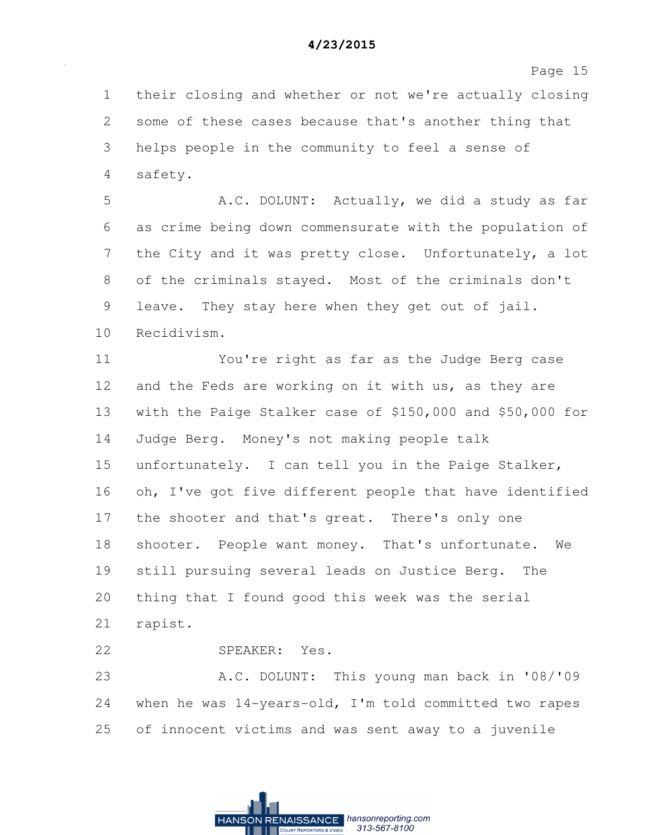Page 15

1 their closing and whether or not we're actually closing 2 some of these cases because that's another thing that 3 helps people in the community to feel a sense of 4 safety.

5 A.C. DOLUNT: Actually, we did a study as far 6 as crime being down commensurate with the population of 7 the City and it was pretty close. Unfortunately, a lot 8 of the criminals stayed. Most of the criminals don't 9 leave. They stay here when they get out of jail. 10 Recidivism.

11 You're right as far as the Judge Berg case 12 and the Feds are working on it with us, as they are 13 with the Paige Stalker case of \$150,000 and \$50,000 for 14 Judge Berg. Money's not making people talk 15 unfortunately. I can tell you in the Paige Stalker, 16 oh, I've got five different people that have identified 17 the shooter and that's great. There's only one 18 shooter. People want money. That's unfortunate. We 19 still pursuing several leads on Justice Berg. The 20 thing that I found good this week was the serial 21 rapist.

22 SPEAKER: Yes.

23 A.C. DOLUNT: This young man back in '08/'09 24 when he was 14-years-old, I'm told committed two rapes 25 of innocent victims and was sent away to a juvenile

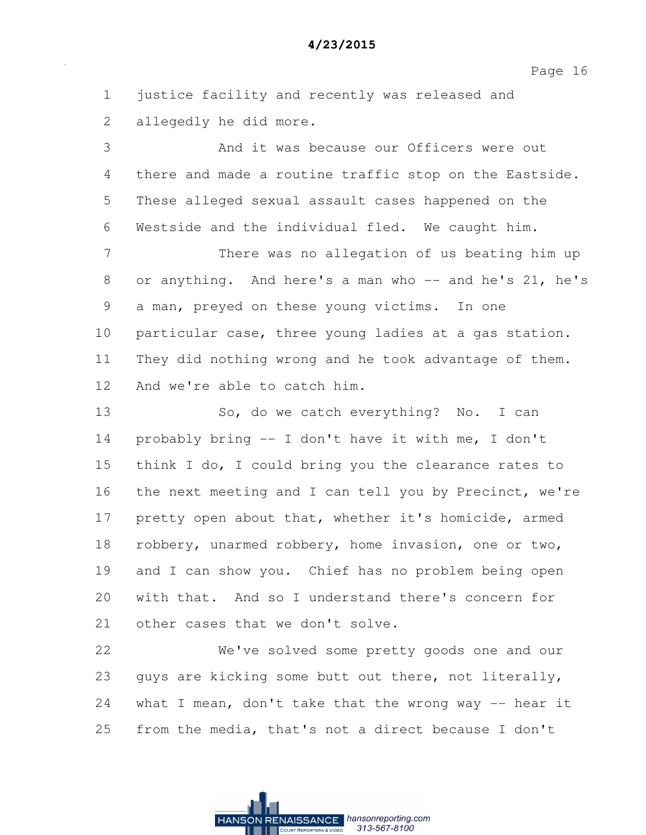Page 16

1 justice facility and recently was released and 2 allegedly he did more.

3 And it was because our Officers were out 4 there and made a routine traffic stop on the Eastside. 5 These alleged sexual assault cases happened on the 6 Westside and the individual fled. We caught him.

7 There was no allegation of us beating him up 8 or anything. And here's a man who -- and he's 21, he's 9 a man, preyed on these young victims. In one 10 particular case, three young ladies at a gas station. 11 They did nothing wrong and he took advantage of them. 12 And we're able to catch him.

13 So, do we catch everything? No. I can 14 probably bring -- I don't have it with me, I don't 15 think I do, I could bring you the clearance rates to 16 the next meeting and I can tell you by Precinct, we're 17 pretty open about that, whether it's homicide, armed 18 robbery, unarmed robbery, home invasion, one or two, 19 and I can show you. Chief has no problem being open 20 with that. And so I understand there's concern for 21 other cases that we don't solve.

22 We've solved some pretty goods one and our 23 guys are kicking some butt out there, not literally, 24 what I mean, don't take that the wrong way -- hear it 25 from the media, that's not a direct because I don't

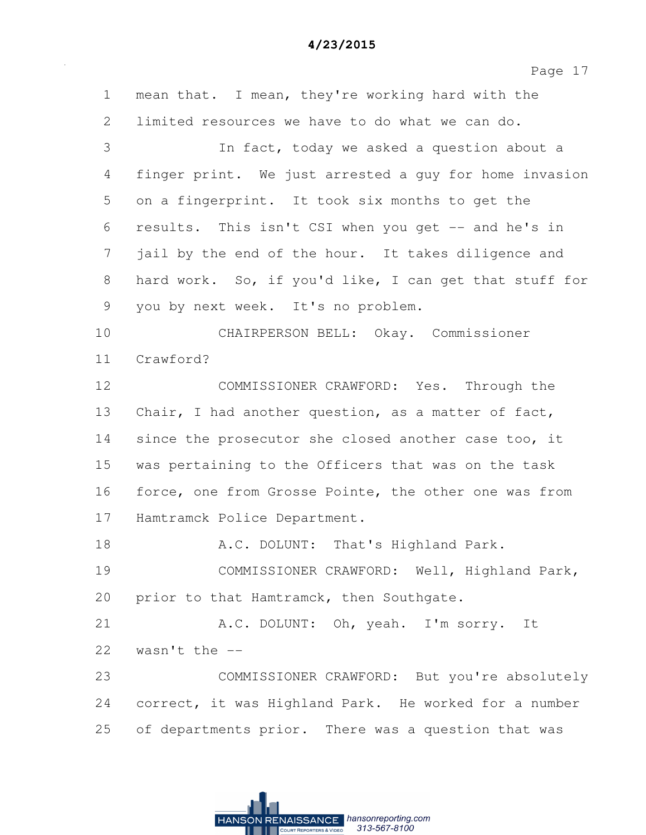Page 17

1 mean that. I mean, they're working hard with the 2 limited resources we have to do what we can do. 3 In fact, today we asked a question about a 4 finger print. We just arrested a guy for home invasion 5 on a fingerprint. It took six months to get the 6 results. This isn't CSI when you get -- and he's in 7 jail by the end of the hour. It takes diligence and 8 hard work. So, if you'd like, I can get that stuff for 9 you by next week. It's no problem. 10 CHAIRPERSON BELL: Okay. Commissioner 11 Crawford? 12 COMMISSIONER CRAWFORD: Yes. Through the 13 Chair, I had another question, as a matter of fact, 14 since the prosecutor she closed another case too, it 15 was pertaining to the Officers that was on the task 16 force, one from Grosse Pointe, the other one was from 17 Hamtramck Police Department. 18 A.C. DOLUNT: That's Highland Park. 19 COMMISSIONER CRAWFORD: Well, Highland Park, 20 prior to that Hamtramck, then Southgate. 21 A.C. DOLUNT: Oh, yeah. I'm sorry. It 22  $wasn't$  the  $-$ 23 COMMISSIONER CRAWFORD: But you're absolutely 24 correct, it was Highland Park. He worked for a number 25 of departments prior. There was a question that was

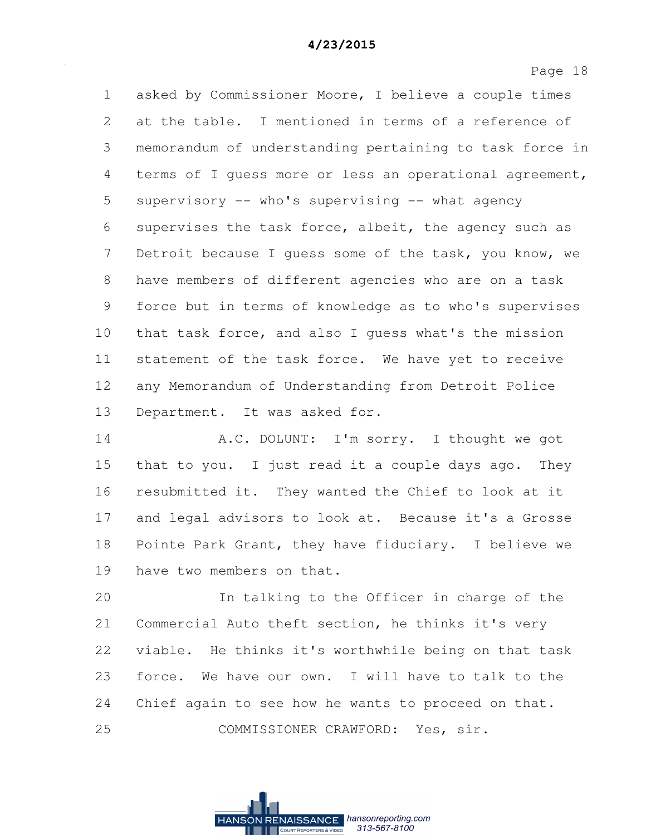Page 18

1 asked by Commissioner Moore, I believe a couple times 2 at the table. I mentioned in terms of a reference of 3 memorandum of understanding pertaining to task force in 4 terms of I guess more or less an operational agreement, 5 supervisory -- who's supervising -- what agency 6 supervises the task force, albeit, the agency such as 7 Detroit because I guess some of the task, you know, we 8 have members of different agencies who are on a task 9 force but in terms of knowledge as to who's supervises 10 that task force, and also I guess what's the mission 11 statement of the task force. We have yet to receive 12 any Memorandum of Understanding from Detroit Police 13 Department. It was asked for.

14 A.C. DOLUNT: I'm sorry. I thought we got 15 that to you. I just read it a couple days ago. They 16 resubmitted it. They wanted the Chief to look at it 17 and legal advisors to look at. Because it's a Grosse 18 Pointe Park Grant, they have fiduciary. I believe we 19 have two members on that.

20 In talking to the Officer in charge of the 21 Commercial Auto theft section, he thinks it's very 22 viable. He thinks it's worthwhile being on that task 23 force. We have our own. I will have to talk to the 24 Chief again to see how he wants to proceed on that. 25 COMMISSIONER CRAWFORD: Yes, sir.

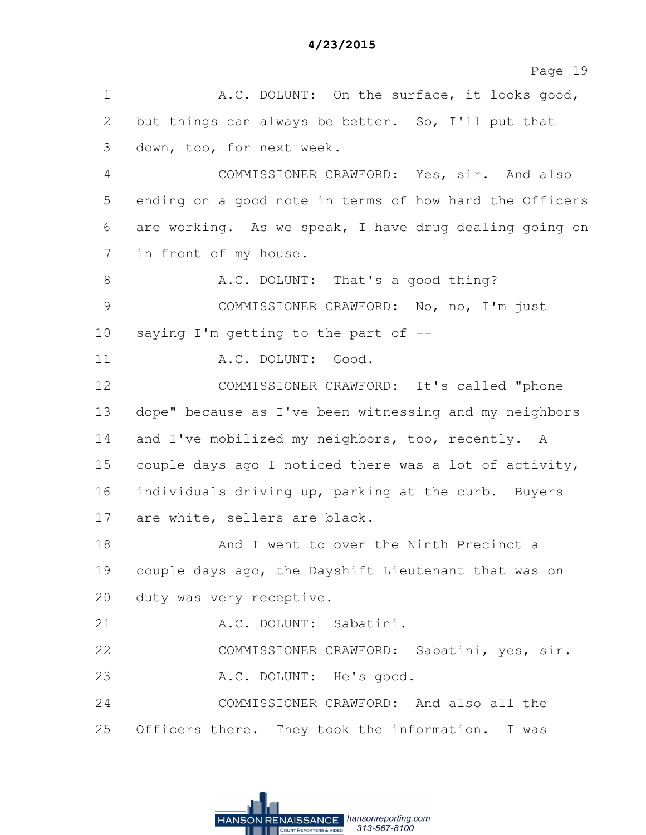1 A.C. DOLUNT: On the surface, it looks good, 2 but things can always be better. So, I'll put that 3 down, too, for next week. 4 COMMISSIONER CRAWFORD: Yes, sir. And also 5 ending on a good note in terms of how hard the Officers 6 are working. As we speak, I have drug dealing going on 7 in front of my house. 8 A.C. DOLUNT: That's a good thing? 9 COMMISSIONER CRAWFORD: No, no, I'm just 10 saying I'm getting to the part of -- 11 A.C. DOLUNT: Good. 12 COMMISSIONER CRAWFORD: It's called "phone 13 dope" because as I've been witnessing and my neighbors 14 and I've mobilized my neighbors, too, recently. A 15 couple days ago I noticed there was a lot of activity, 16 individuals driving up, parking at the curb. Buyers 17 are white, sellers are black. 18 And I went to over the Ninth Precinct a 19 couple days ago, the Dayshift Lieutenant that was on 20 duty was very receptive. 21 A.C. DOLUNT: Sabatini. 22 COMMISSIONER CRAWFORD: Sabatini, yes, sir. 23 A.C. DOLUNT: He's good. 24 COMMISSIONER CRAWFORD: And also all the 25 Officers there. They took the information. I was

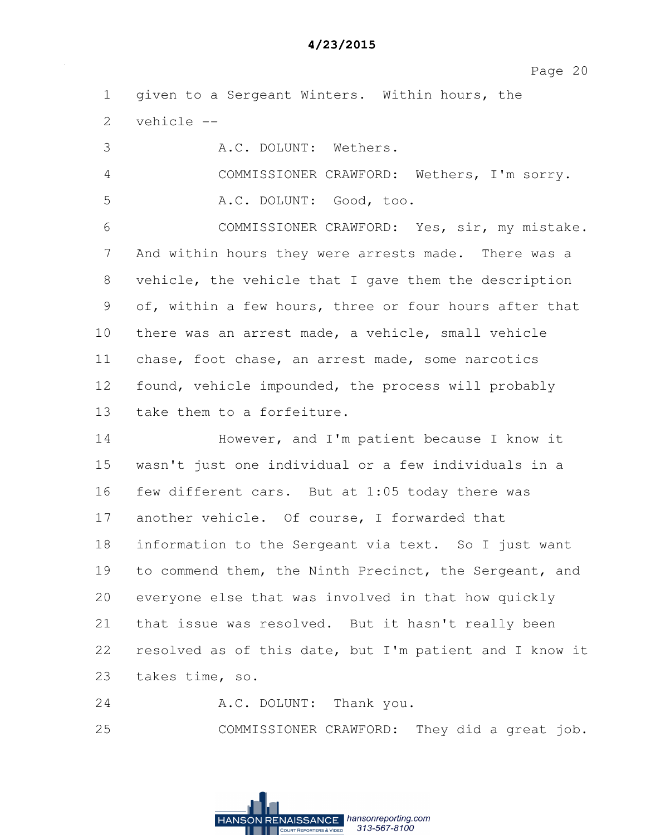| $\mathbf 1$                                               | given to a Sergeant Winters. Within hours, the          |
|-----------------------------------------------------------|---------------------------------------------------------|
| $\mathbf{2}$                                              | vehicle --                                              |
| 3                                                         | A.C. DOLUNT: Wethers.                                   |
| 4                                                         | COMMISSIONER CRAWFORD: Wethers, I'm sorry.              |
| 5                                                         | A.C. DOLUNT: Good, too.                                 |
| 6                                                         | COMMISSIONER CRAWFORD: Yes, sir, my mistake.            |
| 7                                                         | And within hours they were arrests made. There was a    |
| 8                                                         | vehicle, the vehicle that I gave them the description   |
| $\mathcal{G}% _{M_{1},M_{2}}^{\alpha,\beta}(\mathcal{G})$ | of, within a few hours, three or four hours after that  |
| 10                                                        | there was an arrest made, a vehicle, small vehicle      |
| 11                                                        | chase, foot chase, an arrest made, some narcotics       |
| 12                                                        | found, vehicle impounded, the process will probably     |
| 13                                                        | take them to a forfeiture.                              |
| 14                                                        | However, and I'm patient because I know it              |
| 15                                                        | wasn't just one individual or a few individuals in a    |
| 16                                                        | few different cars. But at 1:05 today there was         |
| 17                                                        | another vehicle. Of course, I forwarded that            |
| 18                                                        | information to the Sergeant via text. So I just want    |
| 19                                                        | to commend them, the Ninth Precinct, the Sergeant, and  |
| 20                                                        | everyone else that was involved in that how quickly     |
| 21                                                        | that issue was resolved. But it hasn't really been      |
| 22                                                        | resolved as of this date, but I'm patient and I know it |
| 23                                                        | takes time, so.                                         |
| 24                                                        | A.C. DOLUNT: Thank you.                                 |
| 25                                                        | COMMISSIONER CRAWFORD: They did a great job.            |

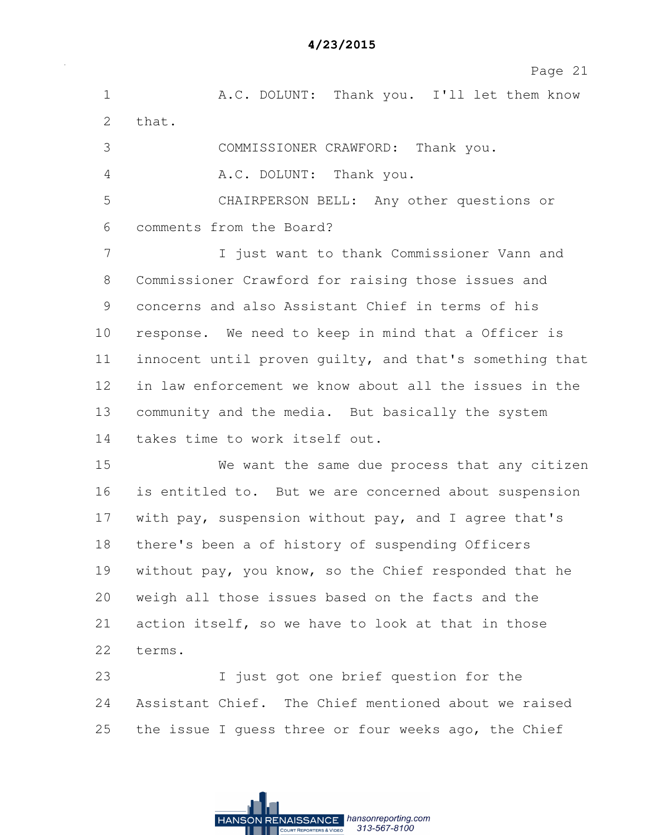1 A.C. DOLUNT: Thank you. I'll let them know 2 that. 3 COMMISSIONER CRAWFORD: Thank you. 4 A.C. DOLUNT: Thank you. 5 CHAIRPERSON BELL: Any other questions or 6 comments from the Board? 7 I just want to thank Commissioner Vann and 8 Commissioner Crawford for raising those issues and 9 concerns and also Assistant Chief in terms of his 10 response. We need to keep in mind that a Officer is 11 innocent until proven guilty, and that's something that 12 in law enforcement we know about all the issues in the 13 community and the media. But basically the system 14 takes time to work itself out. 15 We want the same due process that any citizen 16 is entitled to. But we are concerned about suspension 17 with pay, suspension without pay, and I agree that's 18 there's been a of history of suspending Officers 19 without pay, you know, so the Chief responded that he 20 weigh all those issues based on the facts and the 21 action itself, so we have to look at that in those 22 terms. 23 I just got one brief question for the 24 Assistant Chief. The Chief mentioned about we raised

> RENAISSANCE hansonreporting.com **HANSON** 313-567-8100

25 the issue I guess three or four weeks ago, the Chief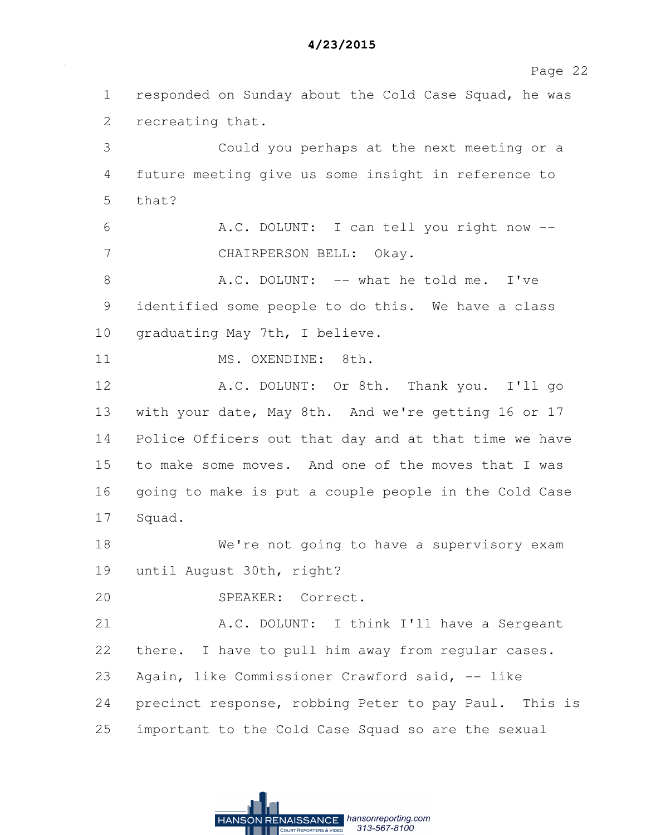Page 22

1 responded on Sunday about the Cold Case Squad, he was 2 recreating that. 3 Could you perhaps at the next meeting or a 4 future meeting give us some insight in reference to 5 that? 6 A.C. DOLUNT: I can tell you right now -- 7 CHAIRPERSON BELL: Okay. 8 A.C. DOLUNT: -- what he told me. I've 9 identified some people to do this. We have a class 10 graduating May 7th, I believe. 11 MS. OXENDINE: 8th. 12 A.C. DOLUNT: Or 8th. Thank you. I'll go 13 with your date, May 8th. And we're getting 16 or 17 14 Police Officers out that day and at that time we have 15 to make some moves. And one of the moves that I was 16 going to make is put a couple people in the Cold Case 17 Squad. 18 We're not going to have a supervisory exam 19 until August 30th, right? 20 SPEAKER: Correct. 21 A.C. DOLUNT: I think I'll have a Sergeant 22 there. I have to pull him away from regular cases. 23 Again, like Commissioner Crawford said, -- like 24 precinct response, robbing Peter to pay Paul. This is 25 important to the Cold Case Squad so are the sexual

RENAISSANCE hansonreporting.com

313-567-8100

**HANSON**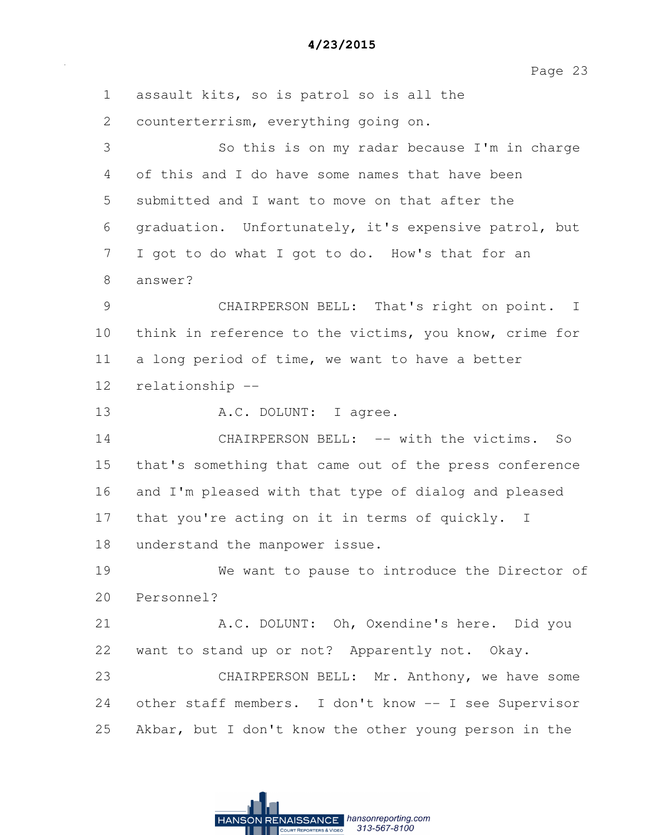1 assault kits, so is patrol so is all the 2 counterterrism, everything going on. 3 So this is on my radar because I'm in charge 4 of this and I do have some names that have been 5 submitted and I want to move on that after the 6 graduation. Unfortunately, it's expensive patrol, but 7 I got to do what I got to do. How's that for an 8 answer? 9 CHAIRPERSON BELL: That's right on point. I 10 think in reference to the victims, you know, crime for 11 a long period of time, we want to have a better 12 relationship -- 13 A.C. DOLUNT: I agree. 14 CHAIRPERSON BELL: -- with the victims. So 15 that's something that came out of the press conference 16 and I'm pleased with that type of dialog and pleased 17 that you're acting on it in terms of quickly. I 18 understand the manpower issue. 19 We want to pause to introduce the Director of 20 Personnel? 21 A.C. DOLUNT: Oh, Oxendine's here. Did you 22 want to stand up or not? Apparently not. Okay. 23 CHAIRPERSON BELL: Mr. Anthony, we have some 24 other staff members. I don't know -- I see Supervisor 25 Akbar, but I don't know the other young person in the

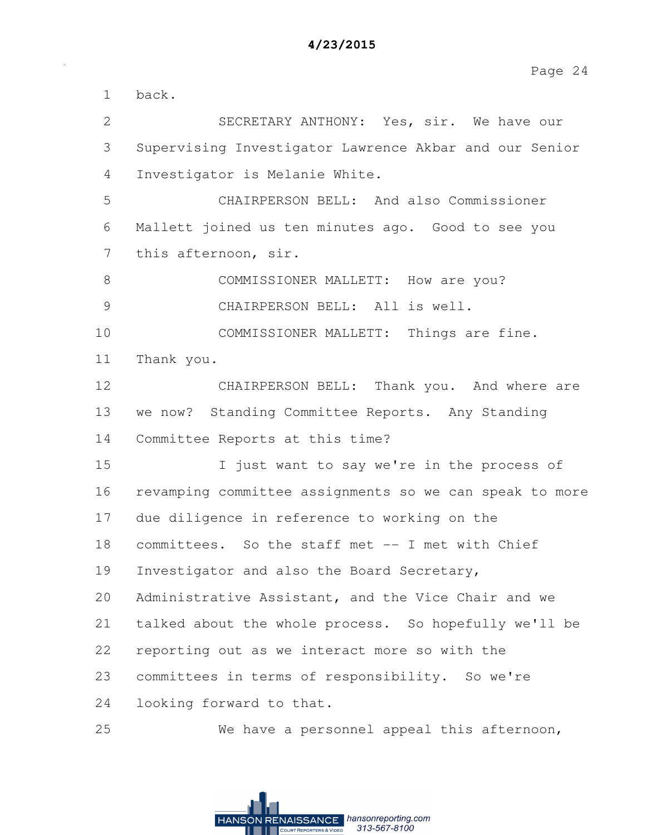1 back. 2 SECRETARY ANTHONY: Yes, sir. We have our 3 Supervising Investigator Lawrence Akbar and our Senior 4 Investigator is Melanie White. 5 CHAIRPERSON BELL: And also Commissioner 6 Mallett joined us ten minutes ago. Good to see you 7 this afternoon, sir. 8 COMMISSIONER MALLETT: How are you? 9 CHAIRPERSON BELL: All is well. 10 COMMISSIONER MALLETT: Things are fine. 11 Thank you. 12 CHAIRPERSON BELL: Thank you. And where are 13 we now? Standing Committee Reports. Any Standing 14 Committee Reports at this time? 15 I just want to say we're in the process of 16 revamping committee assignments so we can speak to more 17 due diligence in reference to working on the 18 committees. So the staff met -- I met with Chief 19 Investigator and also the Board Secretary, 20 Administrative Assistant, and the Vice Chair and we 21 talked about the whole process. So hopefully we'll be 22 reporting out as we interact more so with the 23 committees in terms of responsibility. So we're 24 looking forward to that. 25 We have a personnel appeal this afternoon,

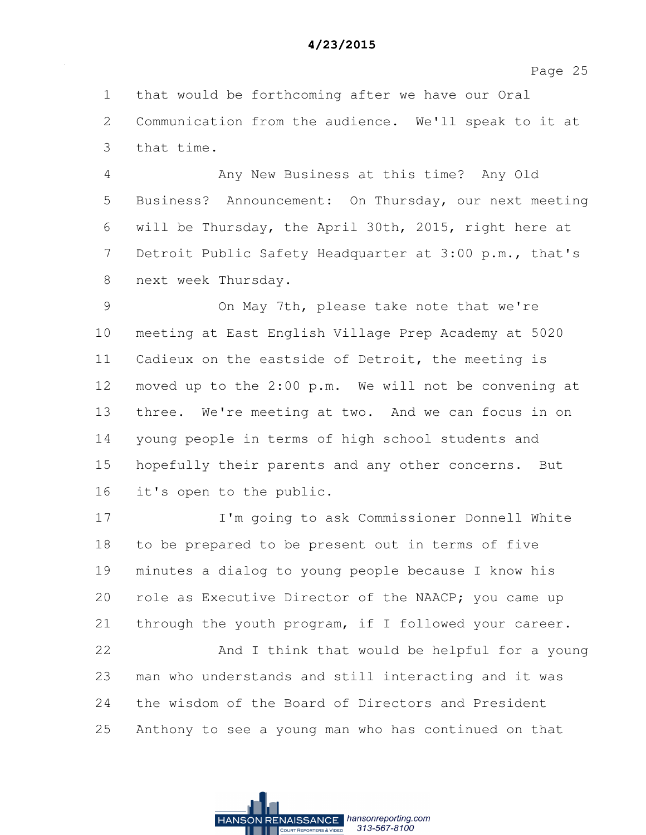1 that would be forthcoming after we have our Oral 2 Communication from the audience. We'll speak to it at 3 that time.

4 Any New Business at this time? Any Old 5 Business? Announcement: On Thursday, our next meeting 6 will be Thursday, the April 30th, 2015, right here at 7 Detroit Public Safety Headquarter at 3:00 p.m., that's 8 next week Thursday.

9 On May 7th, please take note that we're 10 meeting at East English Village Prep Academy at 5020 11 Cadieux on the eastside of Detroit, the meeting is 12 moved up to the 2:00 p.m. We will not be convening at 13 three. We're meeting at two. And we can focus in on 14 young people in terms of high school students and 15 hopefully their parents and any other concerns. But 16 it's open to the public.

17 I'm going to ask Commissioner Donnell White 18 to be prepared to be present out in terms of five 19 minutes a dialog to young people because I know his 20 role as Executive Director of the NAACP; you came up 21 through the youth program, if I followed your career.

22 And I think that would be helpful for a young 23 man who understands and still interacting and it was 24 the wisdom of the Board of Directors and President 25 Anthony to see a young man who has continued on that

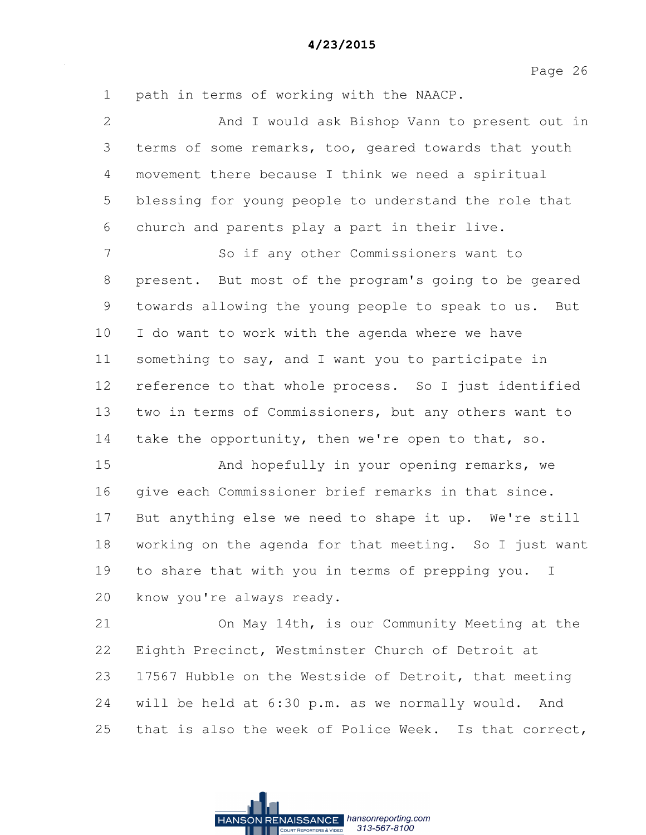Page 26

1 path in terms of working with the NAACP. 2 And I would ask Bishop Vann to present out in 3 terms of some remarks, too, geared towards that youth 4 movement there because I think we need a spiritual 5 blessing for young people to understand the role that 6 church and parents play a part in their live. 7 So if any other Commissioners want to 8 present. But most of the program's going to be geared 9 towards allowing the young people to speak to us. But 10 I do want to work with the agenda where we have 11 something to say, and I want you to participate in 12 reference to that whole process. So I just identified 13 two in terms of Commissioners, but any others want to 14 take the opportunity, then we're open to that, so. 15 And hopefully in your opening remarks, we 16 give each Commissioner brief remarks in that since. 17 But anything else we need to shape it up. We're still 18 working on the agenda for that meeting. So I just want 19 to share that with you in terms of prepping you. I 20 know you're always ready. 21 On May 14th, is our Community Meeting at the 22 Eighth Precinct, Westminster Church of Detroit at 23 17567 Hubble on the Westside of Detroit, that meeting 24 will be held at 6:30 p.m. as we normally would. And 25 that is also the week of Police Week. Is that correct,

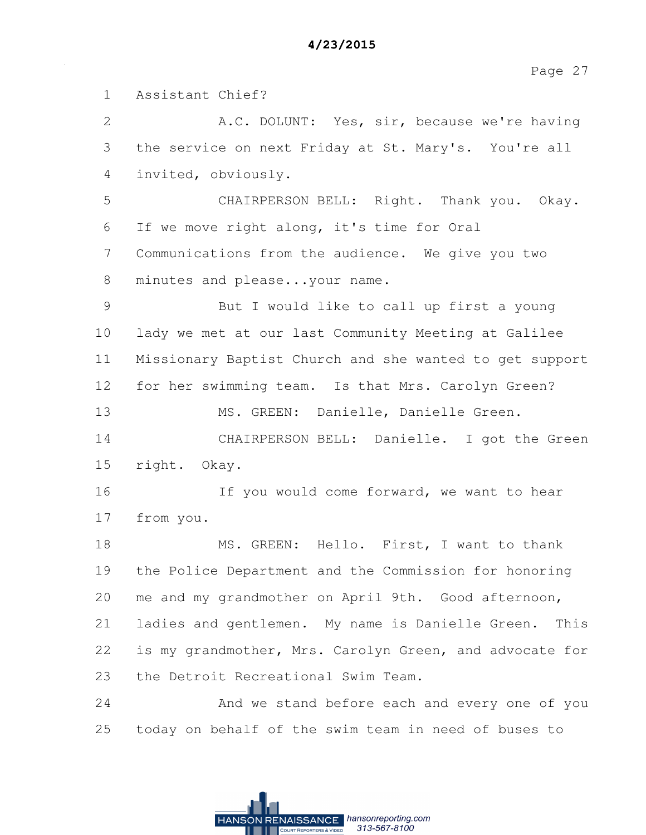1 Assistant Chief? 2 A.C. DOLUNT: Yes, sir, because we're having 3 the service on next Friday at St. Mary's. You're all 4 invited, obviously. 5 CHAIRPERSON BELL: Right. Thank you. Okay. 6 If we move right along, it's time for Oral 7 Communications from the audience. We give you two 8 minutes and please...your name. 9 But I would like to call up first a young 10 lady we met at our last Community Meeting at Galilee 11 Missionary Baptist Church and she wanted to get support 12 for her swimming team. Is that Mrs. Carolyn Green? 13 MS. GREEN: Danielle, Danielle Green. 14 CHAIRPERSON BELL: Danielle. I got the Green 15 right. Okay. 16 16 If you would come forward, we want to hear 17 from you. 18 MS. GREEN: Hello. First, I want to thank 19 the Police Department and the Commission for honoring 20 me and my grandmother on April 9th. Good afternoon, 21 ladies and gentlemen. My name is Danielle Green. This 22 is my grandmother, Mrs. Carolyn Green, and advocate for 23 the Detroit Recreational Swim Team. 24 And we stand before each and every one of you 25 today on behalf of the swim team in need of buses to

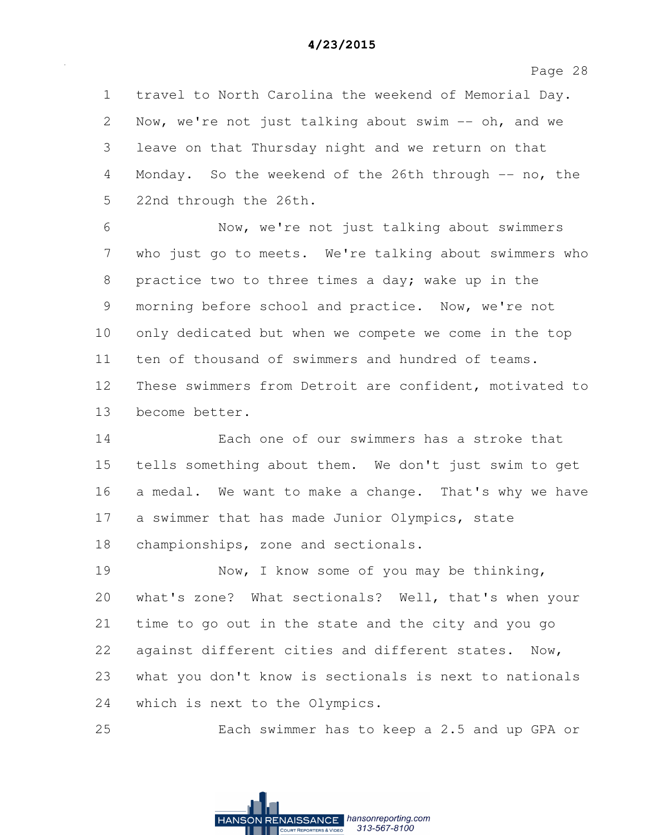1 travel to North Carolina the weekend of Memorial Day. 2 Now, we're not just talking about swim -- oh, and we 3 leave on that Thursday night and we return on that 4 Monday. So the weekend of the 26th through -- no, the 5 22nd through the 26th.

6 Now, we're not just talking about swimmers 7 who just go to meets. We're talking about swimmers who 8 practice two to three times a day; wake up in the 9 morning before school and practice. Now, we're not 10 only dedicated but when we compete we come in the top 11 ten of thousand of swimmers and hundred of teams. 12 These swimmers from Detroit are confident, motivated to 13 become better.

14 Each one of our swimmers has a stroke that 15 tells something about them. We don't just swim to get 16 a medal. We want to make a change. That's why we have 17 a swimmer that has made Junior Olympics, state 18 championships, zone and sectionals.

19 Now, I know some of you may be thinking, 20 what's zone? What sectionals? Well, that's when your 21 time to go out in the state and the city and you go 22 against different cities and different states. Now, 23 what you don't know is sectionals is next to nationals 24 which is next to the Olympics.

25 Each swimmer has to keep a 2.5 and up GPA or

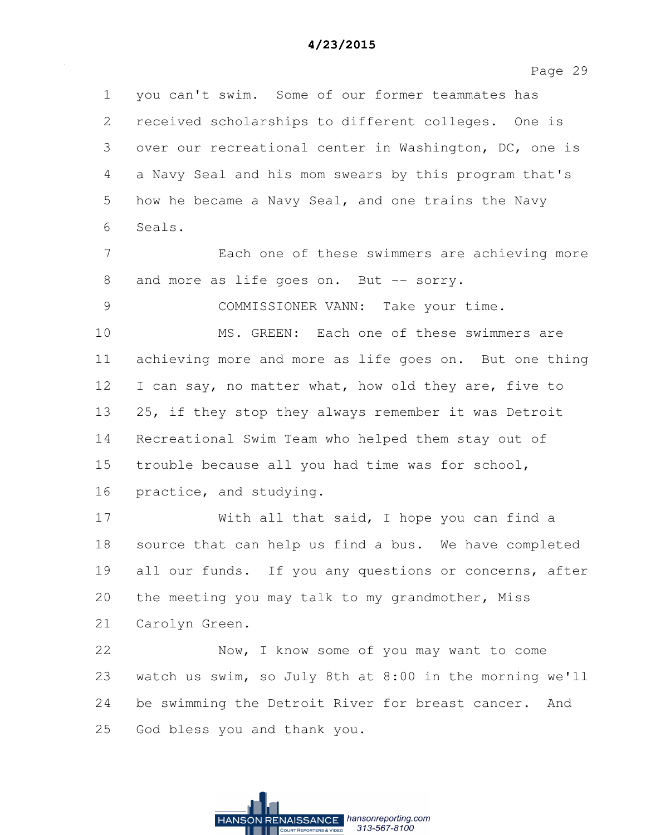Page 29

1 you can't swim. Some of our former teammates has 2 received scholarships to different colleges. One is 3 over our recreational center in Washington, DC, one is 4 a Navy Seal and his mom swears by this program that's 5 how he became a Navy Seal, and one trains the Navy 6 Seals. 7 Each one of these swimmers are achieving more 8 and more as life goes on. But -- sorry. 9 COMMISSIONER VANN: Take your time. 10 MS. GREEN: Each one of these swimmers are 11 achieving more and more as life goes on. But one thing 12 I can say, no matter what, how old they are, five to 13 25, if they stop they always remember it was Detroit 14 Recreational Swim Team who helped them stay out of 15 trouble because all you had time was for school, 16 practice, and studying. 17 With all that said, I hope you can find a 18 source that can help us find a bus. We have completed 19 all our funds. If you any questions or concerns, after 20 the meeting you may talk to my grandmother, Miss 21 Carolyn Green. 22 Now, I know some of you may want to come 23 watch us swim, so July 8th at 8:00 in the morning we'll 24 be swimming the Detroit River for breast cancer. And 25 God bless you and thank you.

> RENAISSANCE hansonreporting.com HANSON 313-567-8100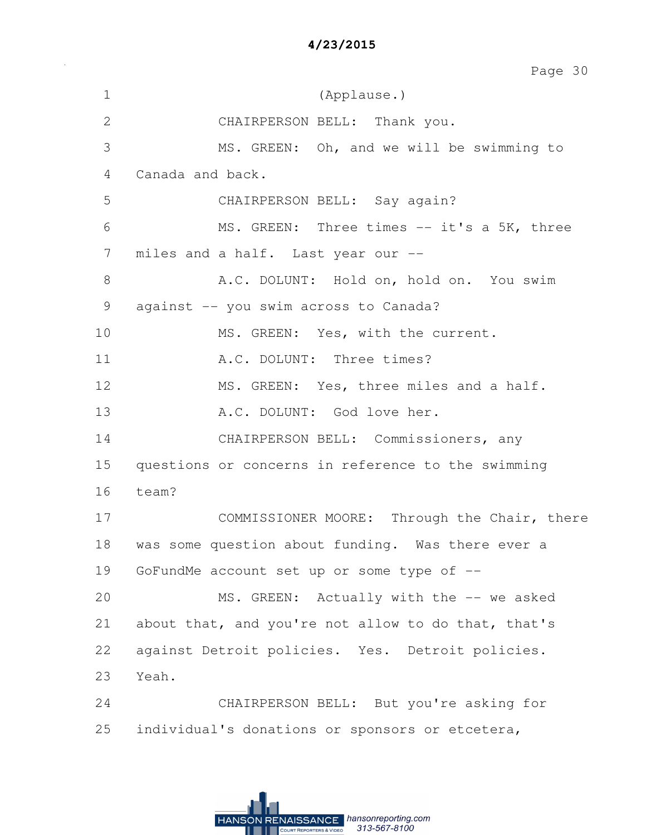| $\mathbf 1$  | (Applause.)                                         |
|--------------|-----------------------------------------------------|
| $\mathbf{2}$ | CHAIRPERSON BELL: Thank you.                        |
| 3            | MS. GREEN: Oh, and we will be swimming to           |
| 4            | Canada and back.                                    |
| 5            | CHAIRPERSON BELL: Say again?                        |
| 6            | MS. GREEN: Three times -- it's a 5K, three          |
| 7            | miles and a half. Last year our --                  |
| $8\,$        | A.C. DOLUNT: Hold on, hold on. You swim             |
| 9            | against -- you swim across to Canada?               |
| 10           | MS. GREEN: Yes, with the current.                   |
| 11           | A.C. DOLUNT: Three times?                           |
| 12           | MS. GREEN: Yes, three miles and a half.             |
| 13           | A.C. DOLUNT: God love her.                          |
| 14           | CHAIRPERSON BELL: Commissioners, any                |
| 15           | questions or concerns in reference to the swimming  |
| 16           | team?                                               |
| 17           | COMMISSIONER MOORE: Through the Chair, there        |
| 18           | was some question about funding. Was there ever a   |
| 19           | GoFundMe account set up or some type of --          |
| 20           | MS. GREEN: Actually with the -- we asked            |
| 21           | about that, and you're not allow to do that, that's |
| 22           | against Detroit policies. Yes. Detroit policies.    |
| 23           | Yeah.                                               |
| 24           | CHAIRPERSON BELL: But you're asking for             |
| 25           | individual's donations or sponsors or etcetera,     |

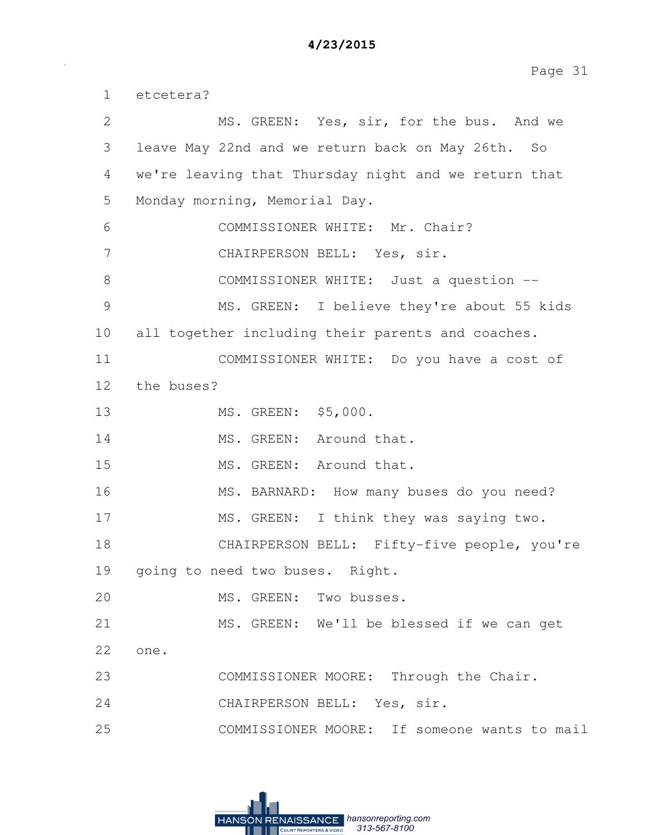Page 31

1 etcetera? 2 MS. GREEN: Yes, sir, for the bus. And we 3 leave May 22nd and we return back on May 26th. So 4 we're leaving that Thursday night and we return that 5 Monday morning, Memorial Day. 6 COMMISSIONER WHITE: Mr. Chair? 7 CHAIRPERSON BELL: Yes, sir. 8 COMMISSIONER WHITE: Just a question -- 9 MS. GREEN: I believe they're about 55 kids 10 all together including their parents and coaches. 11 COMMISSIONER WHITE: Do you have a cost of 12 the buses? 13 MS. GREEN: \$5,000. 14 MS. GREEN: Around that. 15 MS. GREEN: Around that. 16 MS. BARNARD: How many buses do you need? 17 MS. GREEN: I think they was saying two. 18 CHAIRPERSON BELL: Fifty-five people, you're 19 going to need two buses. Right. 20 MS. GREEN: Two busses. 21 MS. GREEN: We'll be blessed if we can get 22 one. 23 COMMISSIONER MOORE: Through the Chair. 24 CHAIRPERSON BELL: Yes, sir. 25 COMMISSIONER MOORE: If someone wants to mail

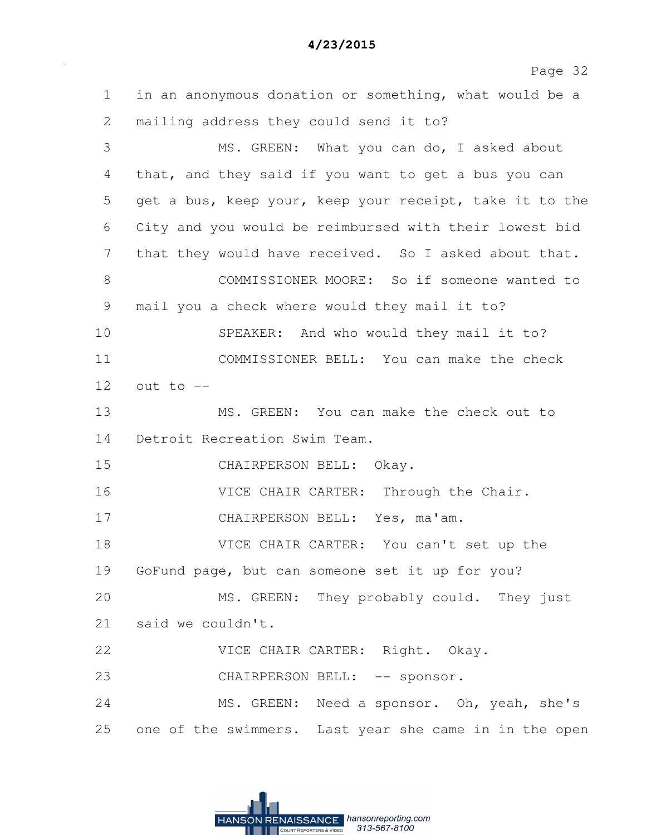Page 32 1 in an anonymous donation or something, what would be a 2 mailing address they could send it to? 3 MS. GREEN: What you can do, I asked about 4 that, and they said if you want to get a bus you can 5 get a bus, keep your, keep your receipt, take it to the 6 City and you would be reimbursed with their lowest bid 7 that they would have received. So I asked about that. 8 COMMISSIONER MOORE: So if someone wanted to 9 mail you a check where would they mail it to? 10 SPEAKER: And who would they mail it to? 11 COMMISSIONER BELL: You can make the check  $12$  out to  $-$ 13 MS. GREEN: You can make the check out to 14 Detroit Recreation Swim Team. 15 CHAIRPERSON BELL: Okay. 16 VICE CHAIR CARTER: Through the Chair. 17 CHAIRPERSON BELL: Yes, ma'am. 18 VICE CHAIR CARTER: You can't set up the 19 GoFund page, but can someone set it up for you? 20 MS. GREEN: They probably could. They just 21 said we couldn't. 22 VICE CHAIR CARTER: Right. Okay. 23 CHAIRPERSON BELL: -- sponsor. 24 MS. GREEN: Need a sponsor. Oh, yeah, she's 25 one of the swimmers. Last year she came in in the open

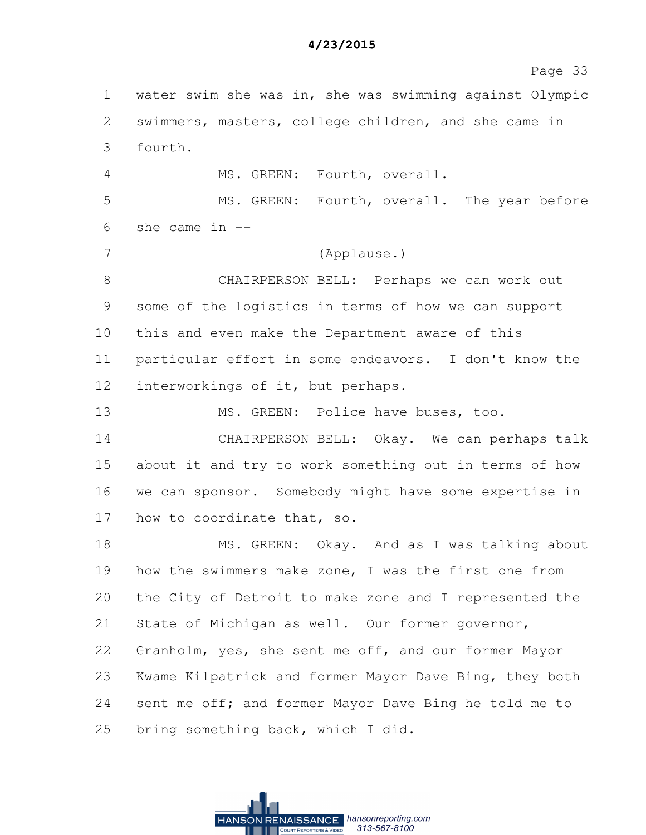Page 33 1 water swim she was in, she was swimming against Olympic 2 swimmers, masters, college children, and she came in 3 fourth. 4 MS. GREEN: Fourth, overall. 5 MS. GREEN: Fourth, overall. The year before 6 she came in -- 7 (Applause.) 8 CHAIRPERSON BELL: Perhaps we can work out 9 some of the logistics in terms of how we can support 10 this and even make the Department aware of this 11 particular effort in some endeavors. I don't know the 12 interworkings of it, but perhaps. 13 MS. GREEN: Police have buses, too. 14 CHAIRPERSON BELL: Okay. We can perhaps talk 15 about it and try to work something out in terms of how 16 we can sponsor. Somebody might have some expertise in 17 how to coordinate that, so. 18 MS. GREEN: Okay. And as I was talking about 19 how the swimmers make zone, I was the first one from 20 the City of Detroit to make zone and I represented the 21 State of Michigan as well. Our former governor, 22 Granholm, yes, she sent me off, and our former Mayor 23 Kwame Kilpatrick and former Mayor Dave Bing, they both 24 sent me off; and former Mayor Dave Bing he told me to 25 bring something back, which I did.

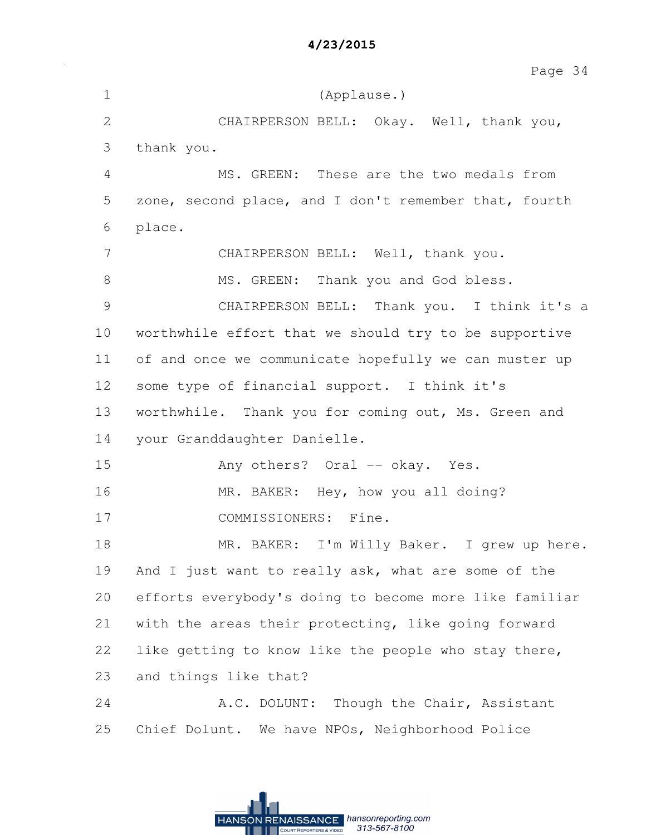Page 34

1 (Applause.) 2 CHAIRPERSON BELL: Okay. Well, thank you, 3 thank you. 4 MS. GREEN: These are the two medals from 5 zone, second place, and I don't remember that, fourth 6 place. 7 CHAIRPERSON BELL: Well, thank you. 8 MS. GREEN: Thank you and God bless. 9 CHAIRPERSON BELL: Thank you. I think it's a 10 worthwhile effort that we should try to be supportive 11 of and once we communicate hopefully we can muster up 12 some type of financial support. I think it's 13 worthwhile. Thank you for coming out, Ms. Green and 14 your Granddaughter Danielle. 15 Any others? Oral -- okay. Yes. 16 MR. BAKER: Hey, how you all doing? 17 COMMISSIONERS: Fine. 18 MR. BAKER: I'm Willy Baker. I grew up here. 19 And I just want to really ask, what are some of the 20 efforts everybody's doing to become more like familiar 21 with the areas their protecting, like going forward 22 like getting to know like the people who stay there, 23 and things like that? 24 A.C. DOLUNT: Though the Chair, Assistant 25 Chief Dolunt. We have NPOs, Neighborhood Police

RENAISSANCE hansonreporting.com

313-567-8100

**HANSON**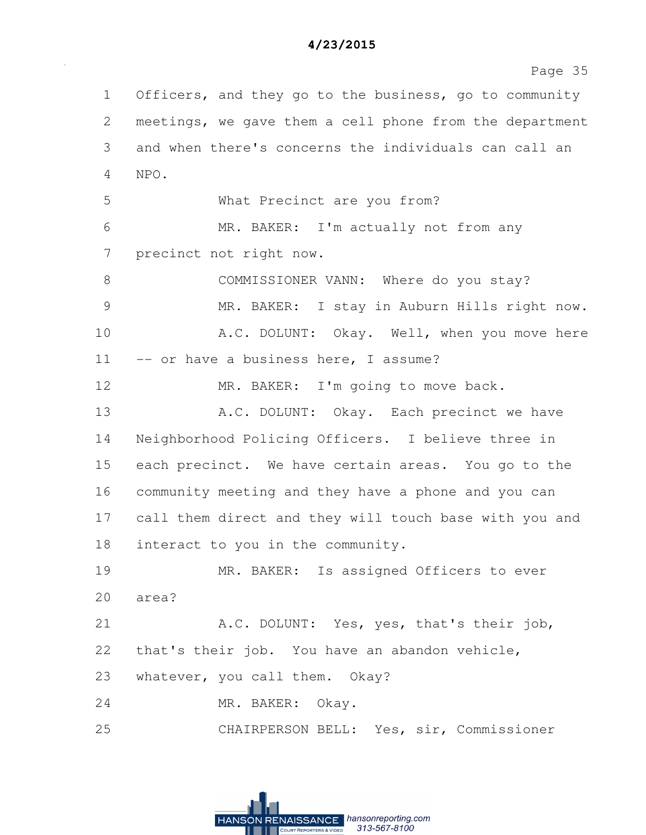| 4/23/2015 |  |  |
|-----------|--|--|
|-----------|--|--|

1 Officers, and they go to the business, go to community 2 meetings, we gave them a cell phone from the department 3 and when there's concerns the individuals can call an 4 NPO. 5 What Precinct are you from? 6 MR. BAKER: I'm actually not from any 7 precinct not right now. 8 COMMISSIONER VANN: Where do you stay? 9 MR. BAKER: I stay in Auburn Hills right now. 10 A.C. DOLUNT: Okay. Well, when you move here 11 -- or have a business here, I assume? 12 MR. BAKER: I'm going to move back. 13 A.C. DOLUNT: Okay. Each precinct we have 14 Neighborhood Policing Officers. I believe three in 15 each precinct. We have certain areas. You go to the 16 community meeting and they have a phone and you can 17 call them direct and they will touch base with you and 18 interact to you in the community. 19 MR. BAKER: Is assigned Officers to ever 20 area? 21 A.C. DOLUNT: Yes, yes, that's their job, 22 that's their job. You have an abandon vehicle, 23 whatever, you call them. Okay? 24 MR. BAKER: Okay. 25 CHAIRPERSON BELL: Yes, sir, Commissioner

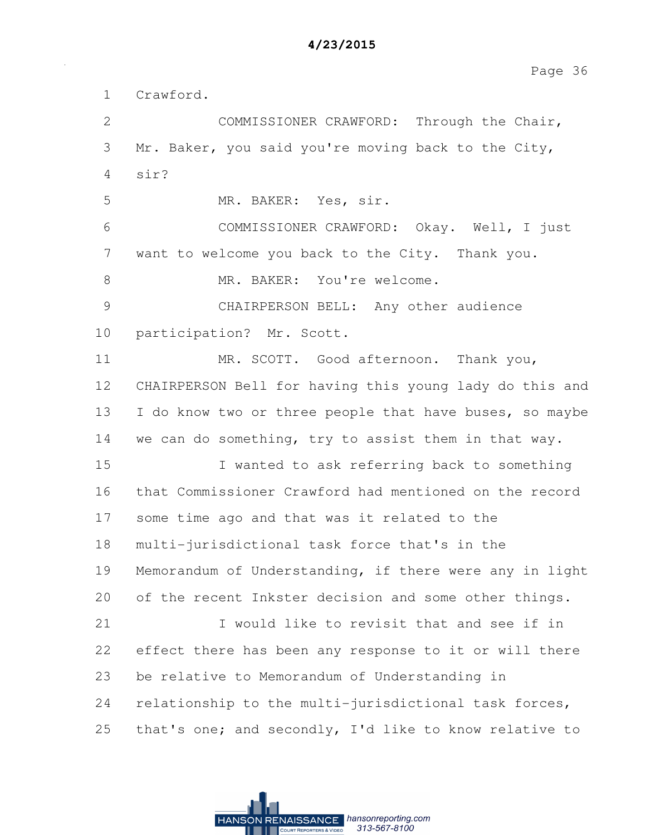Page 36

1 Crawford. 2 COMMISSIONER CRAWFORD: Through the Chair, 3 Mr. Baker, you said you're moving back to the City, 4 sir? 5 MR. BAKER: Yes, sir. 6 COMMISSIONER CRAWFORD: Okay. Well, I just 7 want to welcome you back to the City. Thank you. 8 MR. BAKER: You're welcome. 9 CHAIRPERSON BELL: Any other audience 10 participation? Mr. Scott. 11 MR. SCOTT. Good afternoon. Thank you, 12 CHAIRPERSON Bell for having this young lady do this and 13 I do know two or three people that have buses, so maybe 14 we can do something, try to assist them in that way. 15 I wanted to ask referring back to something 16 that Commissioner Crawford had mentioned on the record 17 some time ago and that was it related to the 18 multi-jurisdictional task force that's in the 19 Memorandum of Understanding, if there were any in light 20 of the recent Inkster decision and some other things. 21 I would like to revisit that and see if in 22 effect there has been any response to it or will there 23 be relative to Memorandum of Understanding in 24 relationship to the multi-jurisdictional task forces, 25 that's one; and secondly, I'd like to know relative to

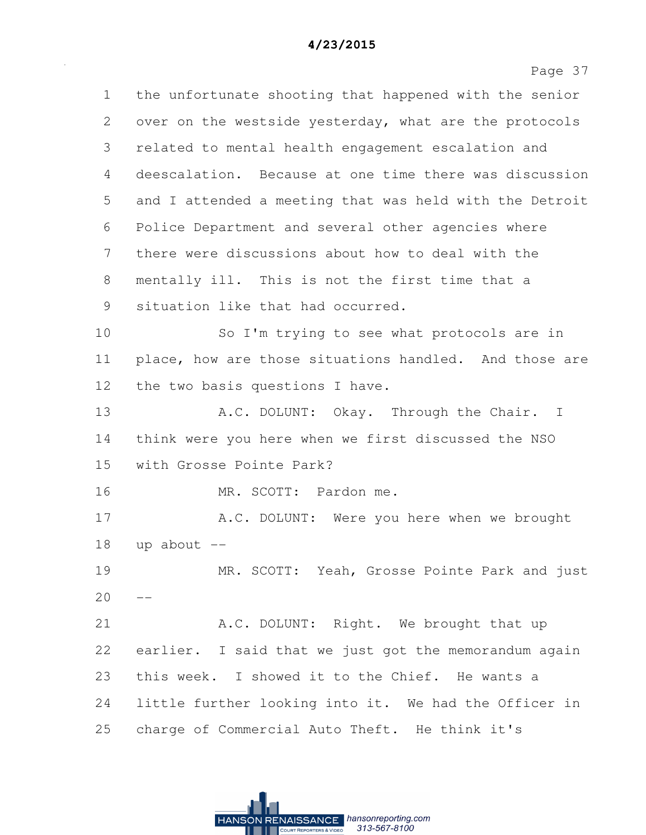Page 37 1 the unfortunate shooting that happened with the senior 2 over on the westside yesterday, what are the protocols 3 related to mental health engagement escalation and 4 deescalation. Because at one time there was discussion 5 and I attended a meeting that was held with the Detroit 6 Police Department and several other agencies where 7 there were discussions about how to deal with the 8 mentally ill. This is not the first time that a 9 situation like that had occurred. 10 So I'm trying to see what protocols are in 11 place, how are those situations handled. And those are 12 the two basis questions I have. 13 A.C. DOLUNT: Okay. Through the Chair. I 14 think were you here when we first discussed the NSO 15 with Grosse Pointe Park? 16 MR. SCOTT: Pardon me. 17 A.C. DOLUNT: Were you here when we brought  $18$  up about  $-$ 19 MR. SCOTT: Yeah, Grosse Pointe Park and just  $20 - -$ 21 A.C. DOLUNT: Right. We brought that up 22 earlier. I said that we just got the memorandum again 23 this week. I showed it to the Chief. He wants a 24 little further looking into it. We had the Officer in 25 charge of Commercial Auto Theft. He think it's

> RENAISSANCE hansonreporting.com  $313 - 567 - 8100$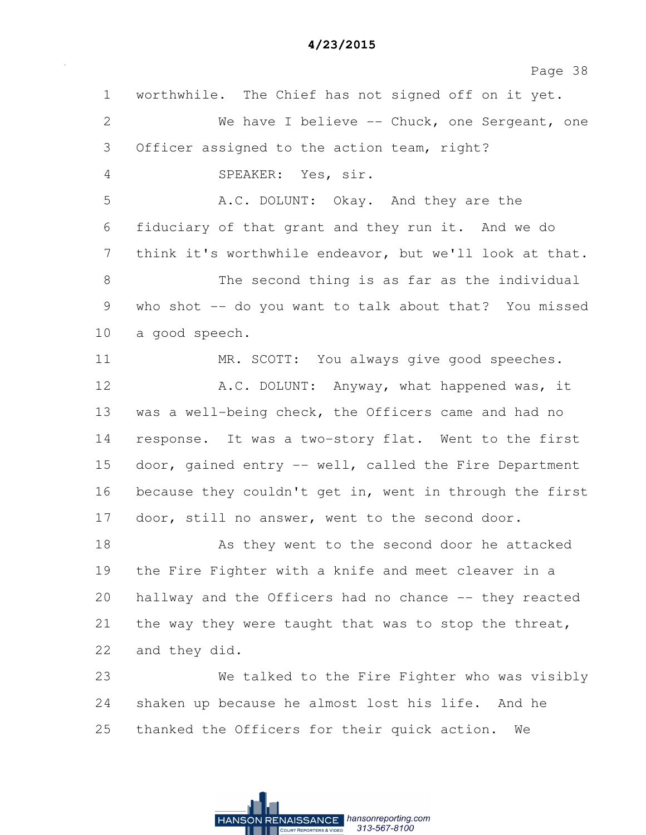| $\mathbf 1$  | worthwhile. The Chief has not signed off on it yet.     |
|--------------|---------------------------------------------------------|
| $\mathbf{2}$ | We have I believe -- Chuck, one Sergeant, one           |
| 3            | Officer assigned to the action team, right?             |
| 4            | SPEAKER: Yes, sir.                                      |
| 5            | A.C. DOLUNT: Okay. And they are the                     |
| 6            | fiduciary of that grant and they run it. And we do      |
| 7            | think it's worthwhile endeavor, but we'll look at that. |
| 8            | The second thing is as far as the individual            |
| 9            | who shot -- do you want to talk about that? You missed  |
| 10           | a good speech.                                          |
| 11           | MR. SCOTT: You always give good speeches.               |
| 12           | A.C. DOLUNT: Anyway, what happened was, it              |
| 13           | was a well-being check, the Officers came and had no    |
| 14           | response. It was a two-story flat. Went to the first    |
| 15           | door, gained entry -- well, called the Fire Department  |
| 16           | because they couldn't get in, went in through the first |
| 17           | door, still no answer, went to the second door.         |
| 18           | As they went to the second door he attacked             |
| 19           | the Fire Fighter with a knife and meet cleaver in a     |
| 20           | hallway and the Officers had no chance -- they reacted  |
| 21           | the way they were taught that was to stop the threat,   |
| 22           | and they did.                                           |
| 23           | We talked to the Fire Fighter who was visibly           |
| 24           | shaken up because he almost lost his life. And he       |
| 25           | thanked the Officers for their quick action.<br>We      |
|              |                                                         |

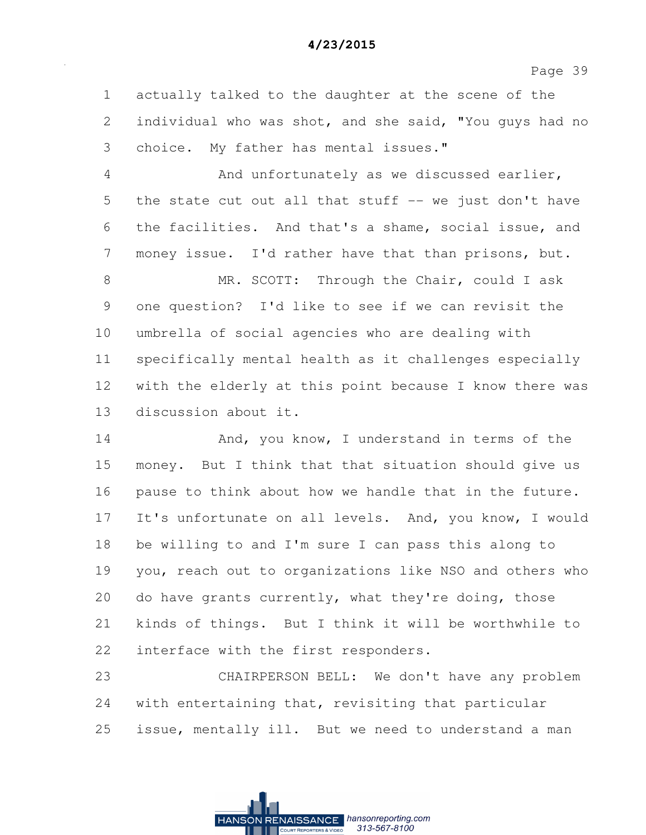Page 39

1 actually talked to the daughter at the scene of the 2 individual who was shot, and she said, "You guys had no 3 choice. My father has mental issues."

4 And unfortunately as we discussed earlier, 5 the state cut out all that stuff -- we just don't have 6 the facilities. And that's a shame, social issue, and 7 money issue. I'd rather have that than prisons, but.

8 MR. SCOTT: Through the Chair, could I ask 9 one question? I'd like to see if we can revisit the 10 umbrella of social agencies who are dealing with 11 specifically mental health as it challenges especially 12 with the elderly at this point because I know there was 13 discussion about it.

14 And, you know, I understand in terms of the 15 money. But I think that that situation should give us 16 pause to think about how we handle that in the future. 17 It's unfortunate on all levels. And, you know, I would 18 be willing to and I'm sure I can pass this along to 19 you, reach out to organizations like NSO and others who 20 do have grants currently, what they're doing, those 21 kinds of things. But I think it will be worthwhile to 22 interface with the first responders.

23 CHAIRPERSON BELL: We don't have any problem 24 with entertaining that, revisiting that particular 25 issue, mentally ill. But we need to understand a man

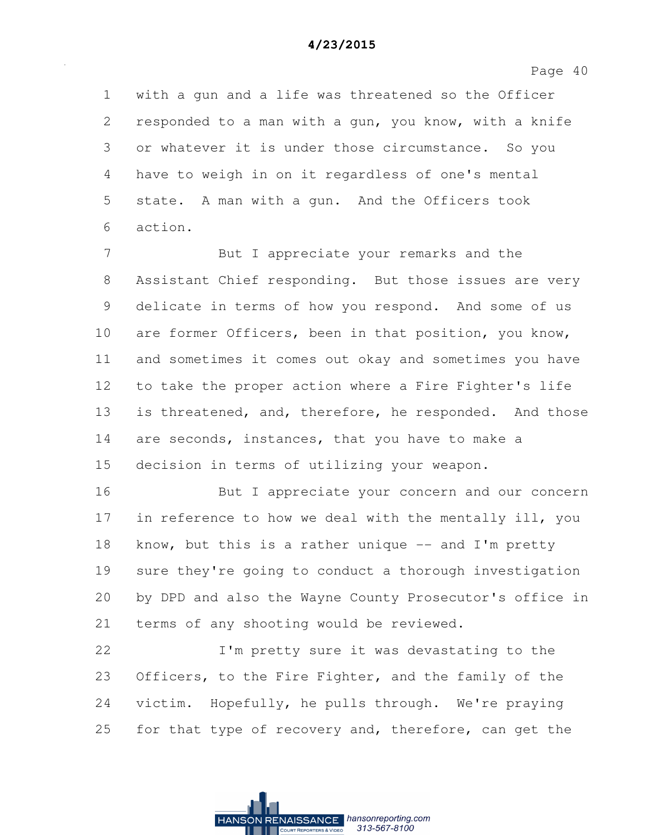Page 40

1 with a gun and a life was threatened so the Officer 2 responded to a man with a gun, you know, with a knife 3 or whatever it is under those circumstance. So you 4 have to weigh in on it regardless of one's mental 5 state. A man with a gun. And the Officers took 6 action.

7 But I appreciate your remarks and the 8 Assistant Chief responding. But those issues are very 9 delicate in terms of how you respond. And some of us 10 are former Officers, been in that position, you know, 11 and sometimes it comes out okay and sometimes you have 12 to take the proper action where a Fire Fighter's life 13 is threatened, and, therefore, he responded. And those 14 are seconds, instances, that you have to make a 15 decision in terms of utilizing your weapon.

16 But I appreciate your concern and our concern 17 in reference to how we deal with the mentally ill, you 18 know, but this is a rather unique -- and I'm pretty 19 sure they're going to conduct a thorough investigation 20 by DPD and also the Wayne County Prosecutor's office in 21 terms of any shooting would be reviewed.

22 I'm pretty sure it was devastating to the 23 Officers, to the Fire Fighter, and the family of the 24 victim. Hopefully, he pulls through. We're praying 25 for that type of recovery and, therefore, can get the

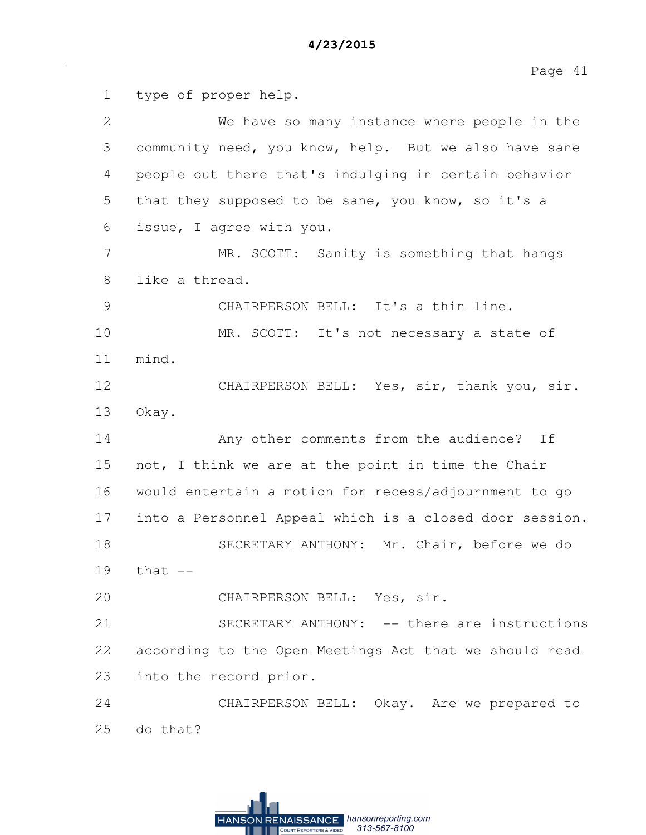1 type of proper help. 2 We have so many instance where people in the 3 community need, you know, help. But we also have sane 4 people out there that's indulging in certain behavior 5 that they supposed to be sane, you know, so it's a 6 issue, I agree with you. 7 MR. SCOTT: Sanity is something that hangs 8 like a thread. 9 CHAIRPERSON BELL: It's a thin line. 10 MR. SCOTT: It's not necessary a state of 11 mind. 12 CHAIRPERSON BELL: Yes, sir, thank you, sir. 13 Okay. 14 Any other comments from the audience? If 15 not, I think we are at the point in time the Chair 16 would entertain a motion for recess/adjournment to go 17 into a Personnel Appeal which is a closed door session. 18 SECRETARY ANTHONY: Mr. Chair, before we do  $19$  that  $-$ 20 CHAIRPERSON BELL: Yes, sir. 21 SECRETARY ANTHONY: -- there are instructions 22 according to the Open Meetings Act that we should read 23 into the record prior. 24 CHAIRPERSON BELL: Okay. Are we prepared to 25 do that?

> RENAISSANCE hansonreporting.com **HANSON** 313-567-8100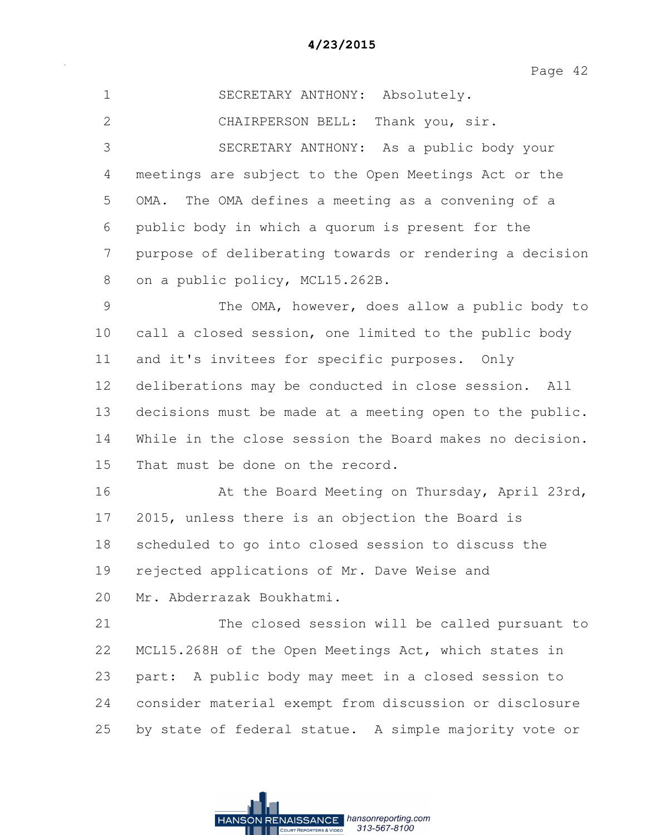| $\mathbf 1$  | SECRETARY ANTHONY: Absolutely.                          |
|--------------|---------------------------------------------------------|
| $\mathbf{2}$ | CHAIRPERSON BELL:<br>Thank you, sir.                    |
| 3            | SECRETARY ANTHONY: As a public body your                |
| 4            | meetings are subject to the Open Meetings Act or the    |
| 5            | The OMA defines a meeting as a convening of a<br>OMA.   |
| 6            | public body in which a quorum is present for the        |
| 7            | purpose of deliberating towards or rendering a decision |
| 8            | on a public policy, MCL15.262B.                         |
| 9            | The OMA, however, does allow a public body to           |
| 10           | call a closed session, one limited to the public body   |
| 11           | and it's invitees for specific purposes. Only           |
| 12           | deliberations may be conducted in close session. All    |
| 13           | decisions must be made at a meeting open to the public. |
| 14           | While in the close session the Board makes no decision. |
| 15           | That must be done on the record.                        |
| 16           | At the Board Meeting on Thursday, April 23rd,           |
| 17           | 2015, unless there is an objection the Board is         |
| 18           | scheduled to go into closed session to discuss the      |
| 19           | rejected applications of Mr. Dave Weise and             |
| 20           | Mr. Abderrazak Boukhatmi.                               |
| 21           | The closed session will be called pursuant to           |
| 22           | MCL15.268H of the Open Meetings Act, which states in    |
| 23           | part: A public body may meet in a closed session to     |
| 24           | consider material exempt from discussion or disclosure  |
| 25           | by state of federal statue. A simple majority vote or   |

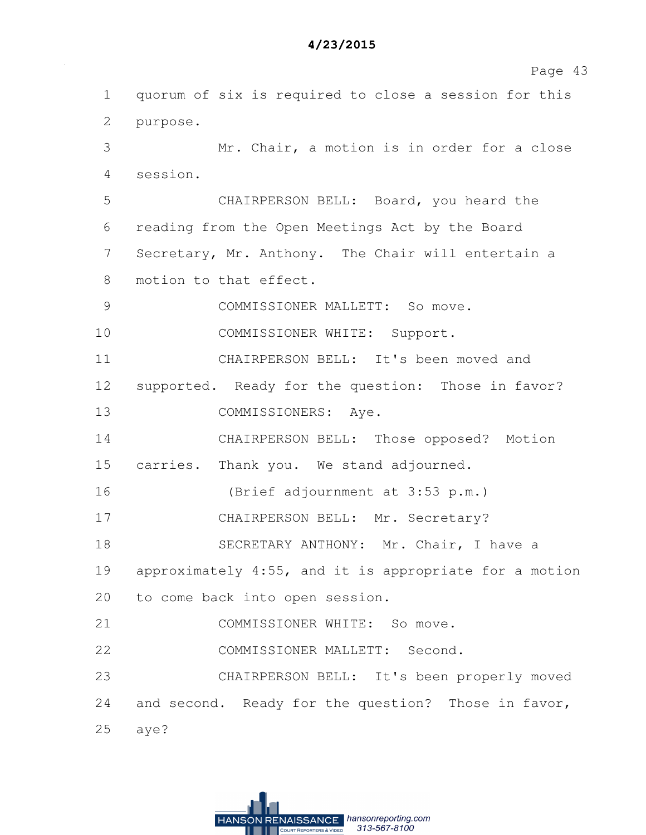|               | raye 4.                                                |
|---------------|--------------------------------------------------------|
| $\mathbf 1$   | quorum of six is required to close a session for this  |
| 2             | purpose.                                               |
| 3             | Mr. Chair, a motion is in order for a close            |
| 4             | session.                                               |
| 5             | CHAIRPERSON BELL: Board, you heard the                 |
| 6             | reading from the Open Meetings Act by the Board        |
| 7             | Secretary, Mr. Anthony. The Chair will entertain a     |
| 8             | motion to that effect.                                 |
| $\mathcal{G}$ | COMMISSIONER MALLETT: So move.                         |
| 10            | COMMISSIONER WHITE: Support.                           |
| 11            | CHAIRPERSON BELL: It's been moved and                  |
| 12            | supported. Ready for the question: Those in favor?     |
| 13            | COMMISSIONERS: Aye.                                    |
| 14            | CHAIRPERSON BELL: Those opposed? Motion                |
| 15            | carries. Thank you. We stand adjourned.                |
| 16            | (Brief adjournment at 3:53 p.m.)                       |
| 17            | CHAIRPERSON BELL: Mr. Secretary?                       |
| 18            | SECRETARY ANTHONY: Mr. Chair, I have a                 |
| 19            | approximately 4:55, and it is appropriate for a motion |
| 20            | to come back into open session.                        |
| 21            | COMMISSIONER WHITE: So move.                           |
| 22            | COMMISSIONER MALLETT: Second.                          |
| 23            | CHAIRPERSON BELL: It's been properly moved             |
| 24            | and second. Ready for the question? Those in favor,    |
| 25            | aye?                                                   |

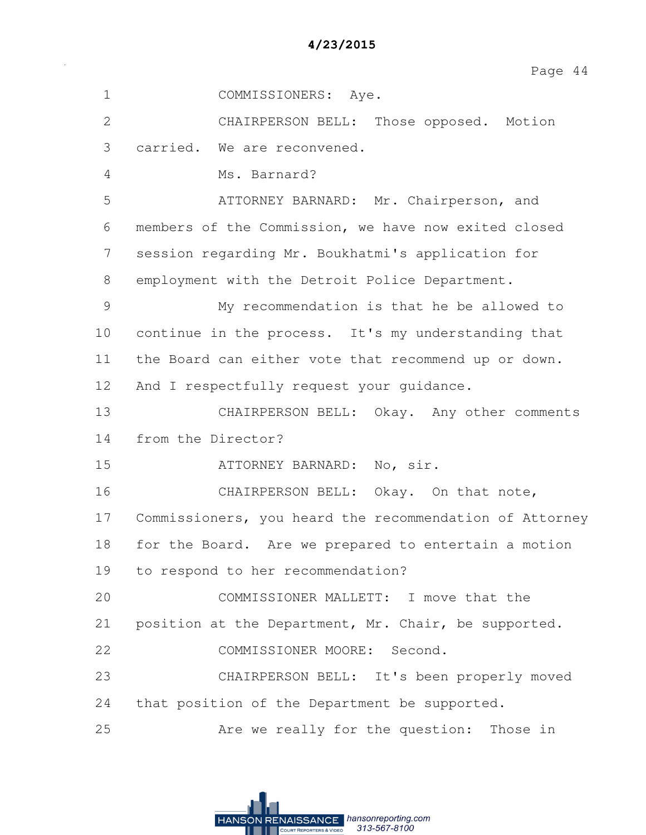| 4/23/2015 |  |  |
|-----------|--|--|
|-----------|--|--|

| $\mathbf 1$   | COMMISSIONERS: Aye.                                     |
|---------------|---------------------------------------------------------|
| $\mathbf{2}$  | CHAIRPERSON BELL:<br>Those opposed. Motion              |
| 3             | carried. We are reconvened.                             |
| 4             | Ms. Barnard?                                            |
| 5             | ATTORNEY BARNARD: Mr. Chairperson, and                  |
| 6             | members of the Commission, we have now exited closed    |
| 7             | session regarding Mr. Boukhatmi's application for       |
| 8             | employment with the Detroit Police Department.          |
| $\mathcal{G}$ | My recommendation is that he be allowed to              |
| 10            | continue in the process. It's my understanding that     |
| 11            | the Board can either vote that recommend up or down.    |
| 12            | And I respectfully request your quidance.               |
| 13            | CHAIRPERSON BELL: Okay. Any other comments              |
| 14            | from the Director?                                      |
| 15            | ATTORNEY BARNARD: No, sir.                              |
| 16            | CHAIRPERSON BELL: Okay. On that note,                   |
| 17            | Commissioners, you heard the recommendation of Attorney |
| 18            | for the Board. Are we prepared to entertain a motion    |
| 19            | to respond to her recommendation?                       |
| 20            | COMMISSIONER MALLETT: I move that the                   |
| 21            | position at the Department, Mr. Chair, be supported.    |
| 22            | COMMISSIONER MOORE: Second.                             |
| 23            | CHAIRPERSON BELL: It's been properly moved              |
| 24            | that position of the Department be supported.           |
| 25            | Are we really for the question: Those in                |

**HANSON RENAISSANCE** hansonreporting.com<br> **HANSON RENAISSANCE** hansonreporting.com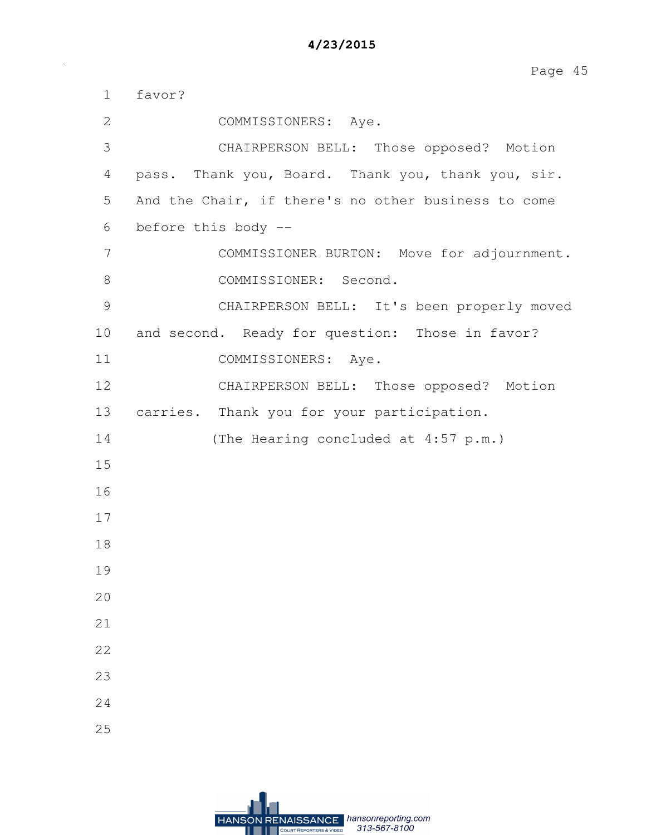| $\mathbf 1$   | favor?                                              |
|---------------|-----------------------------------------------------|
| $\mathbf{2}$  | COMMISSIONERS: Aye.                                 |
| 3             | CHAIRPERSON BELL: Those opposed? Motion             |
| 4             | pass. Thank you, Board. Thank you, thank you, sir.  |
| 5             | And the Chair, if there's no other business to come |
| 6             | before this body --                                 |
| 7             | COMMISSIONER BURTON: Move for adjournment.          |
| $8\,$         | COMMISSIONER: Second.                               |
| $\mathcal{G}$ | CHAIRPERSON BELL: It's been properly moved          |
| 10            | and second. Ready for question: Those in favor?     |
| 11            | COMMISSIONERS: Aye.                                 |
| 12            | CHAIRPERSON BELL: Those opposed? Motion             |
| 13            | carries. Thank you for your participation.          |
| 14            | (The Hearing concluded at 4:57 p.m.)                |
| 15            |                                                     |
| 16            |                                                     |
| 17            |                                                     |
| 18            |                                                     |
| 19            |                                                     |
| 20            |                                                     |
| 21            |                                                     |
| 22            |                                                     |
| 23            |                                                     |
| 24            |                                                     |
| 25            |                                                     |

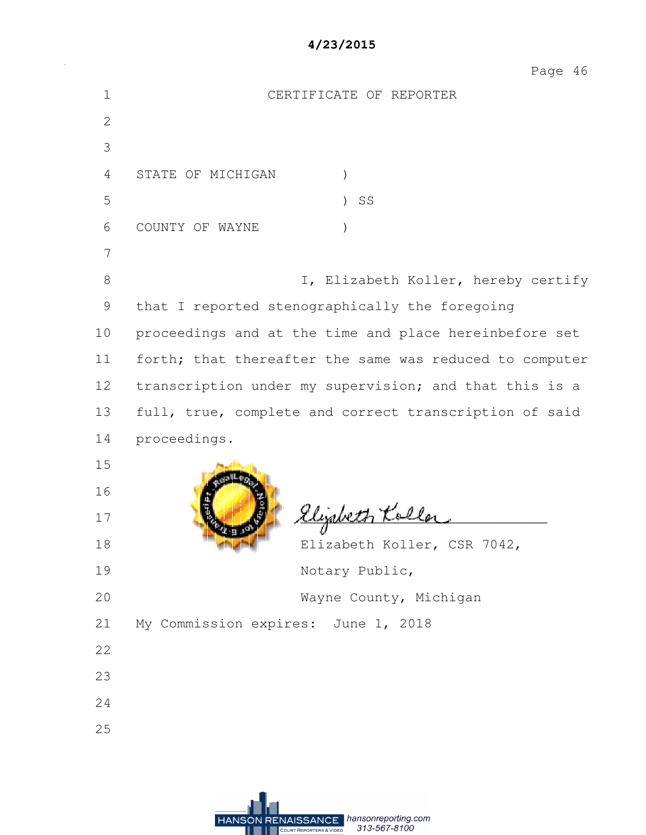Page 46

| $\mathbf 1$  | CERTIFICATE OF REPORTER                                 |
|--------------|---------------------------------------------------------|
| $\mathbf{2}$ |                                                         |
| 3            |                                                         |
| 4            | STATE OF MICHIGAN<br>$\mathcal{E}$                      |
| 5            | SS<br>$\lambda$                                         |
| 6            | COUNTY OF WAYNE<br>$\mathcal{E}$                        |
| 7            |                                                         |
| 8            | I, Elizabeth Koller, hereby certify                     |
| 9            | that I reported stenographically the foregoing          |
| 10           | proceedings and at the time and place hereinbefore set  |
| 11           | forth; that thereafter the same was reduced to computer |
| 12           | transcription under my supervision; and that this is a  |
| 13           | full, true, complete and correct transcription of said  |
| 14           | proceedings.                                            |
| 15           |                                                         |
| 16           |                                                         |
| 17           | Elizabeth Koller                                        |
| 18           | Elizabeth Koller, CSR 7042,                             |
| 19           | Notary Public,                                          |
| 20           | Wayne County, Michigan                                  |
| 21           | My Commission expires: June 1, 2018                     |
| 22           |                                                         |
| 23           |                                                         |
| 24           |                                                         |
| 25           |                                                         |
|              |                                                         |
|              |                                                         |

**HANSON RENAISSANCE** hansonreporting.com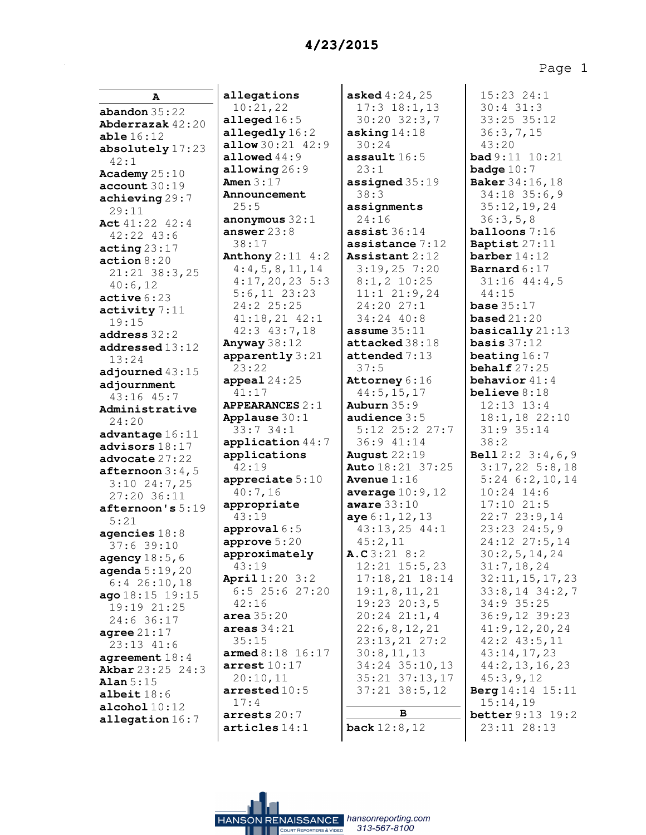Page 1

| A                                       |
|-----------------------------------------|
| abandon $35:22$                         |
| Abderrazak 42:20                        |
| able 16:12                              |
| absolutely 17:23                        |
| 42:1                                    |
| Academy 25:10                           |
| account 30:19                           |
| achieving 29:7                          |
| 29:11                                   |
| Act 41:22 42:4                          |
| 42:22 43:6                              |
| $\texttt{acting} 23:17$                 |
| action 8:20                             |
| 21:21 38:3,25<br>40:6,12                |
|                                         |
| active 6:23                             |
| activity 7:11                           |
| 19:15                                   |
| address 32:2                            |
| addressed 13:12                         |
| 13:24                                   |
| adjourned 43:15                         |
| adjournment                             |
| 43:16 45:7                              |
| Administrative                          |
| 24:20                                   |
| advantage 16:11                         |
| advisors 18:17                          |
| advocate 27:22                          |
| $after$ noon $3:4$ , $5$                |
| $3:10$ 24:7,25                          |
| 27:20 36:11                             |
| afternoon's 5:19                        |
| 5:21                                    |
| agencies $18:8$                         |
| 37:6 39:10                              |
| agency 18:5,6                           |
| <b>agenda</b> 5:19, 20<br>6:4 26:10, 18 |
|                                         |
| <b>ago</b> 18:15 19:15<br>19:19 21:25   |
| 24:6 36:1<br>7                          |
| agree $21:17$                           |
| -<br>23:13 41:6                         |
| agreement 18:4                          |
| Akbar 23:25 24:3                        |
| Alan $5:15$                             |
| albeit $18:6$                           |
| $\texttt{alcohol}$ $10:12$              |
| allegation 16:7                         |
|                                         |

**allegations** 10:21,22 **alleged** 16:5 **allegedly** 16:2 **allow** 30:21 42:9 **allowed** 44:9 **allowing** 26:9 **Amen** 3:17 **Announcement** 25:5 **anonymous** 32:1 **answer** 23:8 38:17 **Anthony** 2:11 4:2 4:4,5,8,11,14 4:17,20,23 5:3 5:6,11 23:23 24:2 25:25 41:18,21 42:1 42:3 43:7,18 **Anyway** 38:12 **apparently** 3:21 23:22 **appeal** 24:25 41:17 **APPEARANCES** 2:1 **Applause** 30:1 33:7 34:1 **application** 44:7 **applications** 42:19 **appreciate** 5:10 40:7,16 **appropriate** 43:19 **approval** 6:5 **approve** 5:20 **approximately** 43:19 **April** 1:20 3:2 6:5 25:6 27:20 42:16 **area** 35:20 **areas** 34:21 35:15 **armed** 8:18 16:17 **arrest** 10:17 20:10,11 **arrested** 10:5 17:4 **arrests** 20:7 **articles** 14:1

**asked** 4:24,25 17:3 18:1,13 30:20 32:3,7 **asking** 14:18 30:24 **assault** 16:5 23:1 **assigned** 35:19 38:3 **assignments** 24:16 **assist** 36:14 **assistance** 7:12 **Assistant** 2:12 3:19,25 7:20 8:1,2 10:25 11:1 21:9,24 24:20 27:1 34:24 40:8 **assume** 35:11 **attacked** 38:18 **attended** 7:13 37:5 **Attorney** 6:16 44:5,15,17 **Auburn** 35:9 **audience** 3:5 5:12 25:2 27:7 36:9 41:14 **August** 22:19 **Auto** 18:21 37:25 **Avenue** 1:16 **average** 10:9,12 **aware** 33:10 **aye** 6:1,12,13 43:13,25 44:1 45:2,11 **A.C** 3:21 8:2 12:21 15:5,23 17:18,21 18:14 19:1,8,11,21 19:23 20:3,5 20:24 21:1,4 22:6,8,12,21 23:13,21 27:2 30:8,11,13 34:24 35:10,13 35:21 37:13,17 37:21 38:5,12 **B back** 12:8,12

15:23 24:1 30:4 31:3 33:25 35:12 36:3,7,15 43:20 **bad** 9:11 10:21 **badge** 10:7 **Baker** 34:16,18 34:18 35:6,9 35:12,19,24 36:3,5,8 **balloons** 7:16 **Baptist** 27:11 **barber** 14:12 **Barnard** 6:17 31:16 44:4,5 44:15 **base** 35:17 **based** 21:20 **basically** 21:13 **basis** 37:12 **beating** 16:7 **behalf** 27:25 **behavior** 41:4 **believe** 8:18 12:13 13:4 18:1,18 22:10 31:9 35:14 38:2 **Bell** 2:2 3:4,6,9 3:17,22 5:8,18 5:24 6:2,10,14 10:24 14:6 17:10 21:5 22:7 23:9,14 23:23 24:5,9 24:12 27:5,14 30:2,5,14,24 31:7,18,24 32:11,15,17,23 33:8,14 34:2,7 34:9 35:25 36:9,12 39:23 41:9,12,20,24 42:2 43:5,11 43:14,17,23 44:2,13,16,23 45:3,9,12 **Berg** 14:14 15:11 15:14,19 **better** 9:13 19:2 23:11 28:13

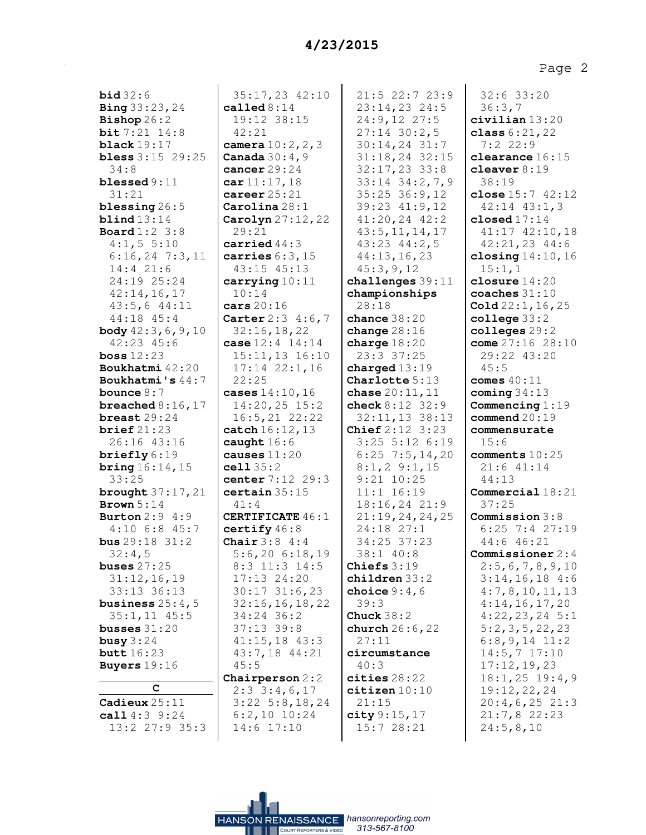| <b>bid</b> 32:6                                   |  |  |  |
|---------------------------------------------------|--|--|--|
| Bing 33:23, 24                                    |  |  |  |
| $\mathbf{Bishop}\,26:2$                           |  |  |  |
| bit 7:21 14:8                                     |  |  |  |
| black $19:17$                                     |  |  |  |
| <b>bless</b> $3:15$ 29:25                         |  |  |  |
| 34:8                                              |  |  |  |
| $b$ lessed $9:11$                                 |  |  |  |
| 31:21                                             |  |  |  |
| blessing $26:5$<br>blind13:14                     |  |  |  |
| <b>Board</b> 1:2 3:8                              |  |  |  |
| 4:1, 5 5:10                                       |  |  |  |
| $6:16,24$ 7:3,11                                  |  |  |  |
| 14:4 21:6                                         |  |  |  |
| 24:19 25:24                                       |  |  |  |
| 42:14, 16, 17                                     |  |  |  |
| 43:5,6 44:11                                      |  |  |  |
| $44:18$ $45:4$<br>body $42:3,6,9,10$              |  |  |  |
|                                                   |  |  |  |
| $42:23$ $45:6$<br>$\texttt{loss} 12:23$           |  |  |  |
|                                                   |  |  |  |
| <b>Boukhatmi</b> 42:20<br><b>Boukhatmi's</b> 44:7 |  |  |  |
| bounce $8:7$                                      |  |  |  |
| breached $8:16$ , $17$                            |  |  |  |
| breast $29:24$                                    |  |  |  |
| brief $21:23$                                     |  |  |  |
| 26:16 43:16                                       |  |  |  |
| $\texttt{briefly} 6:19$                           |  |  |  |
| <b>bring</b> $16:14, 15$                          |  |  |  |
| 33:25<br><b>brought</b> 37:17, 21                 |  |  |  |
| Brown $5:14$                                      |  |  |  |
| Burton 2:9 4:9                                    |  |  |  |
| $4:10$ 6:8 45:7                                   |  |  |  |
| <b>bus</b> $29:18$ $31:2$                         |  |  |  |
| $32:4$ ,<br>5                                     |  |  |  |
| buses $27:25$                                     |  |  |  |
| 31:12,16,19                                       |  |  |  |
| 33:13 36:13<br>business $25:4$ ,<br>5             |  |  |  |
| $35:1, 11$ 45:5<br>busses 31:20<br>http://www.    |  |  |  |
|                                                   |  |  |  |
| busy $3:24$                                       |  |  |  |
|                                                   |  |  |  |
| <b>butt</b> 16:23<br><b>Buyers</b> 19:16          |  |  |  |
| c                                                 |  |  |  |
|                                                   |  |  |  |
| Cadieux $25:11$<br>call 4:3 9:24                  |  |  |  |
|                                                   |  |  |  |

13:2 27:9 35:3

35:17,23 42:10 **called** 8:14 19:12 38:15 42:21 **camera** 10:2,2,3 **Canada** 30:4,9 **cancer** 29:24 **car** 11:17,18 **career** 25:21 **Carolina** 28:1 **Carolyn** 27:12,22 29:21 **carried** 44:3 **carries** 6:3,15 43:15 45:13 **carrying** 10:11 10:14 **cars** 20:16 **Carter** 2:3 4:6,7 32:16,18,22 **case** 12:4 14:14 15:11,13 16:10 17:14 22:1,16 22:25 **cases** 14:10,16 14:20,25 15:2 16:5,21 22:22 **catch** 16:12,13 **caught** 16:6 **causes** 11:20 **cell** 35:2 **center** 7:12 29:3 **certain** 35:15 41:4 **CERTIFICATE** 46:1 **certify** 46:8 **Chair** 3:8 4:4 5:6,20 6:18,19 8:3 11:3 14:5 17:13 24:20 30:17 31:6,23 32:16,16,18,22 34:24 36:2 37:13 39:8 41:15,18 43:3 43:7,18 44:21 45:5 **Chairperson** 2:2 2:3 3:4,6,17 3:22 5:8,18,24 6:2,10 10:24 14:6 17:10

HANSON RENAISSANCE hansonreporting.com

313-567-8100

21:5 22:7 23:9 23:14,23 24:5 24:9,12 27:5 27:14 30:2,5 30:14,24 31:7 31:18,24 32:15 32:17,23 33:8 33:14 34:2,7,9 35:25 36:9,12 39:23 41:9,12 41:20,24 42:2 43:5,11,14,17 43:23 44:2,5 44:13,16,23 45:3,9,12 **challenges** 39:11 **championships** 28:18 **chance** 38:20 **change** 28:16 **charge** 18:20 23:3 37:25 **charged** 13:19 **Charlotte** 5:13 **chase** 20:11,11 **check** 8:12 32:9 32:11,13 38:13 **Chief** 2:12 3:23 3:25 5:12 6:19 6:25 7:5,14,20 8:1,2 9:1,15 9:21 10:25 11:1 16:19 18:16,24 21:9 21:19,24,24,25 24:18 27:1 34:25 37:23 38:1 40:8 **Chiefs** 3:19 **children** 33:2 **choice** 9:4,6 39:3 **Chuck** 38:2 **church** 26:6,22 27:11 **circumstance** 40:3 **cities** 28:22 **citizen** 10:10 21:15 **city** 9:15,17 15:7 28:21

32:6 33:20 36:3,7 **civilian** 13:20 **class** 6:21,22 7:2 22:9 **clearance** 16:15 **cleaver** 8:19 38:19 **close** 15:7 42:12 42:14 43:1,3 **closed** 17:14 41:17 42:10,18 42:21,23 44:6 **closing** 14:10,16 15:1,1 **closure** 14:20 **coaches** 31:10 **Cold** 22:1,16,25 **college** 33:2 **colleges** 29:2 **come** 27:16 28:10 29:22 43:20 45:5 **comes** 40:11 **coming** 34:13 **Commencing** 1:19 **commend** 20:19 **commensurate** 15:6 **comments** 10:25 21:6 41:14 44:13 **Commercial** 18:21 37:25 **Commission** 3:8 6:25 7:4 27:19 44:6 46:21 **Commissioner** 2:4 2:5,6,7,8,9,10 3:14,16,18 4:6 4:7,8,10,11,13 4:14,16,17,20 4:22,23,24 5:1 5:2,3,5,22,23 6:8,9,14 11:2 14:5,7 17:10 17:12,19,23 18:1,25 19:4,9 19:12,22,24 20:4,6,25 21:3 21:7,8 22:23 24:5,8,10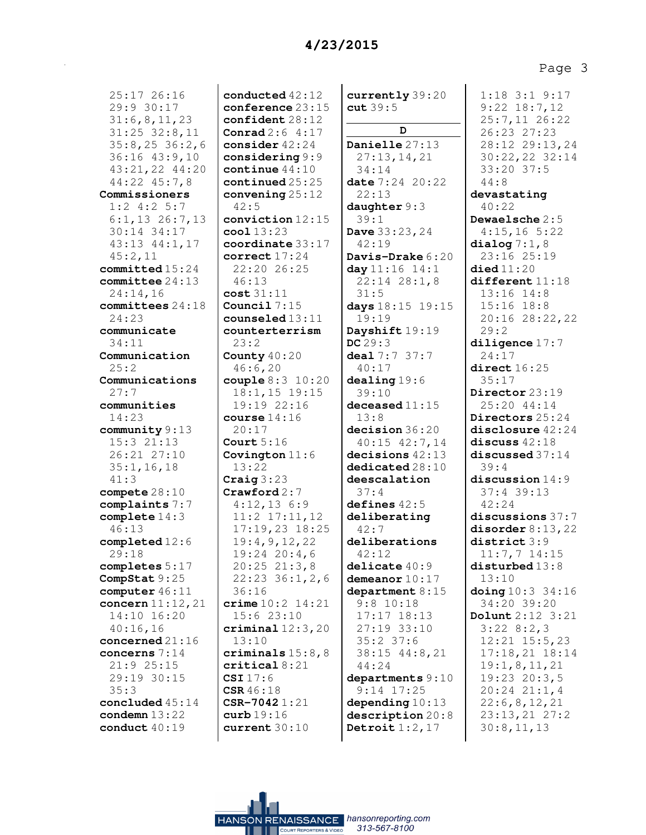25:17 26:16 29:9 30:17 31:6,8,11,23 31:25 32:8,11 35:8,25 36:2,6 36:16 43:9,10 43:21,22 44:20 44:22 45:7,8 **Commissioners** 1:2 4:2 5:7 6:1,13 26:7,13 30:14 34:17 43:13 44:1,17 45:2,11 **committed** 15:24 **committee** 24:13 24:14,16 **committees** 24:18 24:23 **communicate** 34:11 **Communication** 25:2 **Communications** 27:7 **communities** 14:23 **community** 9:13 15:3 21:13 26:21 27:10 35:1,16,18 41:3 **compete** 28:10 **complaints** 7:7 **complete** 14:3 46:13 **completed** 12:6 29:18 **completes** 5:17 **CompStat** 9:25 **computer** 46:11 **concern** 11:12,21 14:10 16:20 40:16,16 **concerned** 21:16 **concerns** 7:14 21:9 25:15 29:19 30:15 35:3 **concluded** 45:14 **condemn** 13:22 **conduct** 40:19

**conducted** 42:12 **conference** 23:15 **confident** 28:12 **Conrad** 2:6 4:17 **consider** 42:24 **considering** 9:9 **continue** 44:10 **continued** 25:25 **convening** 25:12 42:5 **conviction** 12:15 **cool** 13:23 **coordinate** 33:17 **correct** 17:24 22:20 26:25 46:13 **cost** 31:11 **Council** 7:15 **counseled** 13:11 **counterterrism** 23:2 **County** 40:20 46:6,20 **couple** 8:3 10:20 18:1,15 19:15 19:19 22:16 **course** 14:16 20:17 **Court** 5:16 **Covington** 11:6 13:22 **Craig** 3:23 **Crawford** 2:7 4:12,13 6:9 11:2 17:11,12 17:19,23 18:25 19:4,9,12,22 19:24 20:4,6 20:25 21:3,8 22:23 36:1,2,6 36:16 **crime** 10:2 14:21 15:6 23:10 **criminal** 12:3,20 13:10 **criminals** 15:8,8 **critical** 8:21 **CSI** 17:6 **CSR** 46:18 **CSR-7042** 1:21 **curb** 19:16 **current** 30:10

**currently** 39:20 **cut** 39:5 **D Danielle** 27:13 27:13,14,21 34:14 **date** 7:24 20:22 22:13 **daughter** 9:3 39:1 **Dave** 33:23,24 42:19 **Davis-Drake** 6:20 **day** 11:16 14:1 22:14 28:1,8 31:5 **days** 18:15 19:15 19:19 **Dayshift** 19:19 **DC** 29:3 **deal** 7:7 37:7 40:17 **dealing** 19:6 39:10 **deceased** 11:15 13:8 **decision** 36:20 40:15 42:7,14 **decisions** 42:13 **dedicated** 28:10 **deescalation** 37:4 **defines** 42:5 **deliberating** 42:7 **deliberations** 42:12 **delicate** 40:9 **demeanor** 10:17 **department** 8:15 9:8 10:18 17:17 18:13 27:19 33:10 35:2 37:6 38:15 44:8,21 44:24 **departments** 9:10 9:14 17:25 **depending** 10:13 **description** 20:8 **Detroit** 1:2,17

1:18 3:1 9:17 9:22 18:7,12 25:7,11 26:22 26:23 27:23 28:12 29:13,24 30:22,22 32:14 33:20 37:5 44:8 **devastating** 40:22 **Dewaelsche** 2:5 4:15,16 5:22 **dialog** 7:1,8 23:16 25:19 **died** 11:20 **different** 11:18 13:16 14:8 15:16 18:8 20:16 28:22,22 29:2 **diligence** 17:7 24:17 **direct** 16:25 35:17 **Director** 23:19 25:20 44:14 **Directors** 25:24 **disclosure** 42:24 **discuss** 42:18 **discussed** 37:14 39:4 **discussion** 14:9 37:4 39:13 42:24 **discussions** 37:7 **disorder** 8:13,22 **district** 3:9 11:7,7 14:15 **disturbed** 13:8 13:10 **doing** 10:3 34:16 34:20 39:20 **Dolunt** 2:12 3:21 3:22 8:2,3 12:21 15:5,23 17:18,21 18:14 19:1,8,11,21 19:23 20:3,5 20:24 21:1,4 22:6,8,12,21 23:13,21 27:2 30:8,11,13

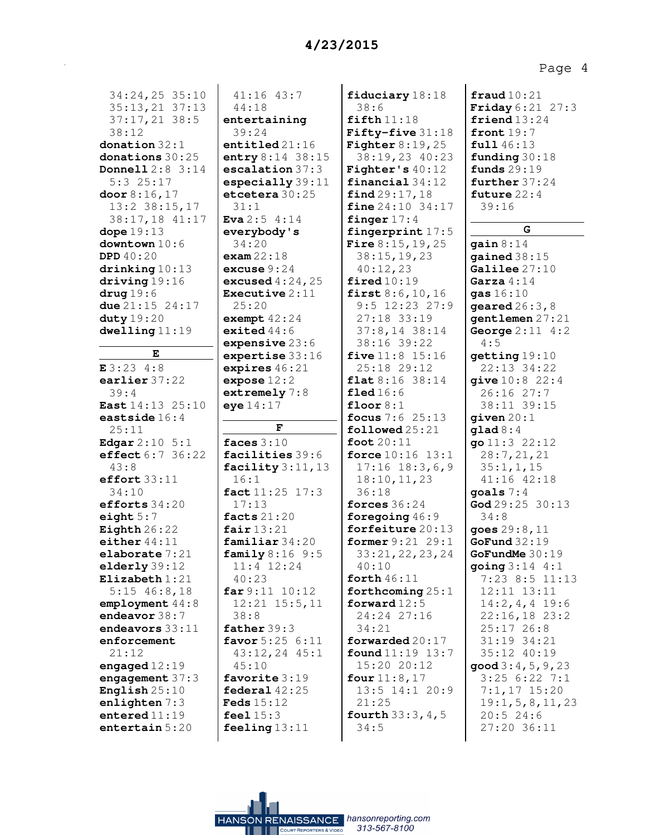| 34:24,25 35:10              | $41:16$ $43:7$        | fiduciary 18:18             | $\texttt{fraud10:21}$           |
|-----------------------------|-----------------------|-----------------------------|---------------------------------|
| 35:13,21 37:13              | 44:18                 | 38:6                        | <b>Friday</b> 6:21 27:3         |
| 37:17,21 38:5               | entertaining          | fifth 11:18                 | friend $13:24$                  |
| 38:12                       | 39:24                 | Fifty-five 31:18            | front $19:7$                    |
| donation $32:1$             | entiltled 21:16       | Fighter $8:19,25$           | full 46:13                      |
| donations $30:25$           | entry 8:14 38:15      | 38:19,23 40:23              | funding $30:18$                 |
| <b>Donnell</b> $2:8$ $3:14$ | escalation 37:3       | Fighter's $40:12$           | funds $29:19$                   |
| $5:3$ 25:17                 | especially 39:11      | financial34:12              | further $37:24$                 |
| door $8:16,17$              | etcetera 30:25        | find 29:17,18               | future $22:4$                   |
| $13:2$ $38:15,17$           | 31:1                  | <b>fine</b> $24:10$ $34:17$ | 39:16                           |
| 38:17,18 41:17              | <b>Eva</b> $2:5$ 4:14 | finger $17:4$               |                                 |
| dope $19:13$                | everybody's           | fingerprint $17:5$          | G                               |
| downtown 10:6               | 34:20                 | <b>Fire</b> $8:15, 19, 25$  | gain $8:14$                     |
| <b>DPD</b> $40:20$          | exam22:18             | 38:15, 19, 23               | gained $38:15$                  |
| drinking 10:13              | excuse $9:24$         | 40:12,23                    | Galilee 27:10                   |
| driving 19:16               | excused $4:24,25$     | fired10:19                  | Garza $4:14$                    |
| $\arg 19:6$                 | Executive $2:11$      | first $8:6, 10, 16$         | gas $16:10$                     |
| due $21:15$ $24:17$         | 25:20                 | $9:5$ 12:23 27:9            | geared $26:3$ , 8               |
| duty $19:20$                | exempt $42:24$        | 27:18 33:19                 | gentlemen 27:21                 |
| dwelling 11:19              | exited $44:6$         | $37:8,14$ 38:14             | George $2:11 \ 4:2$             |
|                             | expensive $23:6$      | 38:16 39:22                 | 4:5                             |
| Е                           | expertise 33:16       | <b>five</b> $11:8$ $15:16$  | getting 19:10                   |
| E3:234:8                    | expires $46:21$       | 25:18 29:12                 | 22:13 34:22                     |
| earlier $37:22$             | expose $12:2$         | flat 8:16 38:14             | give $10:8$ 22:4                |
| 39:4                        | extremely 7:8         | field16:6                   | $26:16$ $27:7$                  |
| <b>East</b> $14:13$ $25:10$ | eye14:17              | floor $8:1$                 | 38:11 39:15                     |
| eastside $16:4$             |                       | focus $7:6$ 25:13           | given $20:1$                    |
| 25:11                       | F                     | followed 25:21              | $\texttt{quad} 8:4$             |
| <b>Edgar</b> $2:10 \ 5:1$   | faces $3:10$          | foot $20:11$                | go $11:3$ $22:12$               |
| effect 6:7 36:22            | facilities 39:6       | <b>force</b> $10:16$ $13:1$ | 28:7,21,21                      |
| 43:8                        | facility $3:11,13$    | $17:16$ $18:3,6,9$          | 35:1, 1, 15                     |
| effort $33:11$              | 16:1                  | 18:10, 11, 23               | 41:16 42:18                     |
| 34:10                       | fact 11:25 17:3       | 36:18                       | goals $7:4$                     |
| efforts $34:20$             | 17:13                 | forces $36:24$              | $\text{God } 29:25 30:13$       |
| eight $5:7$                 | facts $21:20$         | foregoing $46:9$            | 34:8                            |
| Eighth $26:22$              | fair $13:21$          | forfeiture 20:13            | goes 29:8, 11                   |
| either $44:11$              | familiar 34:20        | former 9:21 29:1            | GoFund32:19                     |
| elaborate /:21              | family 8:16 9:5       | 33:21, 22, 23, 24           | GoFundMe $30:19$                |
| elderly 39:12               | 11:4 12:24            | 40:10                       | going 3:14 4:1                  |
| Elizabeth $1:21$            | 40:23                 | forth $46:11$               | $7:23$ 8:5 11:13                |
| $5:15$ 46:8,18              | far 9:11 10:12        | forthcoming $25:1$          | $12:11$ $13:11$                 |
| employment 44:8             | $12:21$ $15:5,11$     | forward $12:5$              | $14:2, 4, 4$ 19:6               |
| endeavor $38:7$             | 38:8                  | 24:24 27:16                 | $22:16,18$ 23:2                 |
| endeavors $33:11$           | father $39:3$         | 34:21                       | 25:1726:8                       |
| enforcement                 | favor 5:25 6:11       | forwarded $20:17$           | 31:19 34:21                     |
| 21:12                       | 43:12,24 45:1         | found 11:19 13:7            | 35:12 40:19                     |
| engaged $12:19$             | 45:10                 | 15:20 20:12                 | $\mathsf{good}\,3:4$ , 5, 9, 23 |
| engagement $37:3$           | favorite 3:19         | four $11:8,17$              | 3:256:227:1                     |
| English $25:10$             | federal $42:25$       | 13:5 14:1 20:9              | $7:1,17$ 15:20                  |
| enlighten 7:3               | <b>Feds</b> 15:12     | 21:25                       | 19:1, 5, 8, 11, 23              |
| entered $11:19$             | feel $15:3$           | <b>fourth</b> $33:3, 4, 5$  | 20:524:6                        |
| entertain 5:20              | feeling $13:11$       | 34:5                        | 27:20 36:11                     |
|                             |                       |                             |                                 |

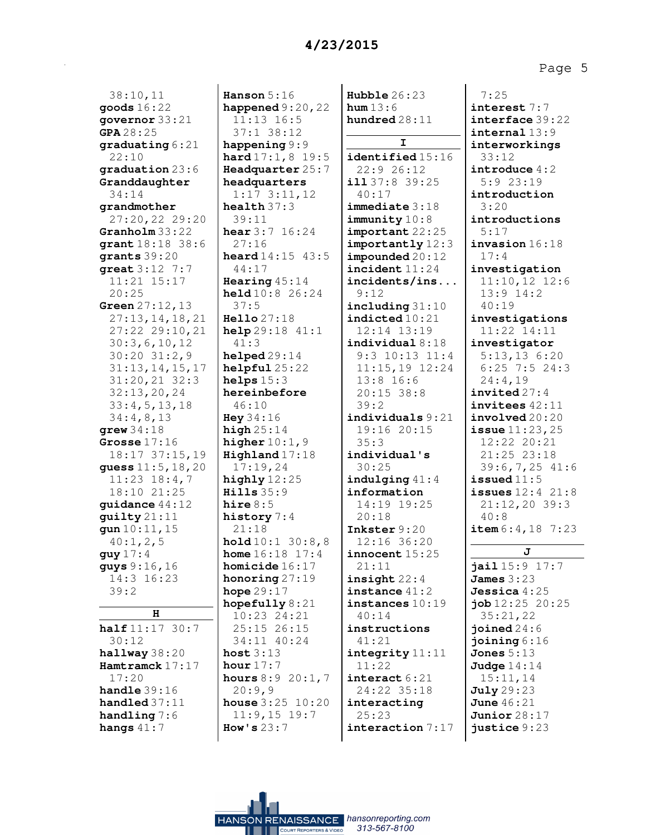38:10,11 **goods** 16:22 **governor** 33:21 **GPA** 28:25 **graduating** 6:21 22:10 **graduation** 23:6 **Granddaughter** 34:14 **grandmother** 27:20,22 29:20 **Granholm** 33:22 **grant** 18:18 38:6 **grants** 39:20 **great** 3:12 7:7 11:21 15:17 20:25 **Green** 27:12,13 27:13,14,18,21 27:22 29:10,21 30:3,6,10,12 30:20 31:2,9 31:13,14,15,17 31:20,21 32:3 32:13,20,24 33:4,5,13,18 34:4,8,13 **grew** 34:18 **Grosse** 17:16 18:17 37:15,19 **guess** 11:5,18,20 11:23 18:4,7 18:10 21:25 **guidance** 44:12 **guilty** 21:11 **gun** 10:11,15 40:1,2,5 **guy** 17:4 **guys** 9:16,16 14:3 16:23 39:2 **H half** 11:17 30:7 30:12 **hallway** 38:20 **Hamtramck** 17:17

17:20 **handle** 39:16 **handled** 37:11 **handling** 7:6 **hangs** 41:7

**Hanson** 5:16 **happened** 9:20,22 11:13 16:5 37:1 38:12 **happening** 9:9 **hard** 17:1,8 19:5 **Headquarter** 25:7 **headquarters** 1:17 3:11,12 **health** 37:3 39:11 **hear** 3:7 16:24 27:16 **heard** 14:15 43:5 44:17 **Hearing** 45:14 **held** 10:8 26:24 37:5 **Hello** 27:18 **help** 29:18 41:1 41:3 **helped** 29:14 **helpful** 25:22 **helps** 15:3 **hereinbefore** 46:10 **Hey** 34:16 **high** 25:14 **higher** 10:1,9 **Highland** 17:18 17:19,24 **highly** 12:25 **Hills** 35:9 **hire** 8:5 **history** 7:4 21:18 **hold** 10:1 30:8,8 **home** 16:18 17:4 **homicide** 16:17 **honoring** 27:19 **hope** 29:17 **hopefully** 8:21 10:23 24:21 25:15 26:15 34:11 40:24 **host** 3:13 **hour** 17:7 **hours** 8:9 20:1,7 20:9,9 **house** 3:25 10:20 11:9,15 19:7 **How's** 23:7

**Hubble** 26:23 **hum** 13:6 **hundred** 28:11 **I identified** 15:16 22:9 26:12 **ill** 37:8 39:25 40:17 **immediate** 3:18 **immunity** 10:8 **important** 22:25 **importantly** 12:3 **impounded** 20:12 **incident** 11:24 **incidents/ins...** 9:12 **including** 31:10 **indicted** 10:21 12:14 13:19 **individual** 8:18 9:3 10:13 11:4 11:15,19 12:24 13:8 16:6 20:15 38:8 39:2 **individuals** 9:21 19:16 20:15 35:3 **individual's** 30:25 **indulging** 41:4 **information** 14:19 19:25 20:18 **Inkster** 9:20 12:16 36:20 **innocent** 15:25 21:11 **insight** 22:4 **instance** 41:2 **instances** 10:19 40:14 **instructions** 41:21 **integrity** 11:11 11:22 **interact** 6:21 24:22 35:18 **interacting** 25:23 **interaction** 7:17

Page 5

7:25 **interest** 7:7 **interface** 39:22 **internal** 13:9 **interworkings** 33:12 **introduce** 4:2 5:9 23:19 **introduction** 3:20 **introductions** 5:17 **invasion** 16:18 17:4 **investigation** 11:10,12 12:6 13:9 14:2 40:19 **investigations** 11:22 14:11 **investigator** 5:13,13 6:20 6:25 7:5 24:3 24:4,19 **invited** 27:4 **invitees** 42:11 **involved** 20:20 **issue** 11:23,25 12:22 20:21 21:25 23:18 39:6,7,25 41:6 **issued** 11:5 **issues** 12:4 21:8 21:12,20 39:3 40:8 **item** 6:4,18 7:23 **J jail** 15:9 17:7 **James** 3:23 **Jessica** 4:25 **job** 12:25 20:25 35:21,22 **joined** 24:6 **joining** 6:16 **Jones** 5:13

**Judge** 14:14 15:11,14 **July** 29:23 **June** 46:21 **Junior** 28:17 **justice** 9:23

HANSON RENAISSANCE hansonreporting.com 313-567-8100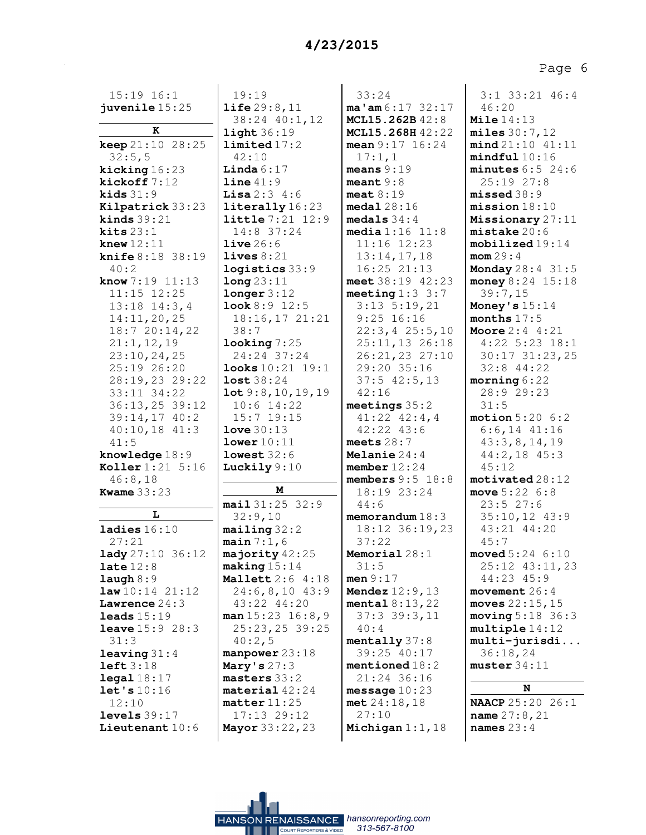| $15:19$ $16:1$              | 19:19                           | 33:24                              | $3:1$ $33:21$ $46:4$              |
|-----------------------------|---------------------------------|------------------------------------|-----------------------------------|
| juvenile $15:25$            | life 29:8,11                    | ma' am 6:17 32:17                  | 46:20                             |
| K                           | 38:24 40:1,12                   | MCL15.262B42:8<br>MCL15.268H 42:22 | Mile $14:13$                      |
| <b>keep</b> $21:10$ $28:25$ | light 36:19<br>limited 17:2     | mean $9:17$ $16:24$                | miles 30:7,12<br>mind 21:10 41:11 |
| 32:5,5                      | 42:10                           | 17:1,1                             | mindful10:16                      |
| kicking 16:23               | <b>Linda</b> $6:17$             | means $9:19$                       | minutes $6:5$ 24:6                |
| kickoff7:12                 | line 41:9                       | meant $9:8$                        | $25:19$ $27:8$                    |
| kids $31:9$                 | <b>Lisa</b> $2:3$ 4:6           | meat $8:19$                        | missed 38:9                       |
| Kilpatrick 33:23            | literally 16:23                 | medal28:16                         | mission18:10                      |
| kinds $39:21$               | <b>little</b> 7:21 12:9         | medals $34:4$                      | Missionary 27:11                  |
| kits $23:1$                 | 14:8 37:24                      | median 1:16 11:8                   | mistake 20:6                      |
| knew $12:11$                | live26:6                        | $11:16$ $12:23$                    | $mobilized 19:14$                 |
| knife 8:18 38:19            | lives $8:21$                    | 13:14,17,18                        | mom 29:4                          |
| 40:2                        | logistics 33:9                  | $16:25$ $21:13$                    | Monday 28:4 31:5                  |
| <b>know</b> $7:19$ $11:13$  | long 23:11                      | meet 38:19 42:23                   | money 8:24 15:18                  |
| $11:15$ $12:25$             | longer 3:12                     | meeting $1:3:3:7$                  | 39:7,15                           |
| $13:18$ $14:3,4$            | <b>look</b> $8:9$ 12:5          | $3:13$ $5:19,21$                   | Money's $15:14$                   |
| 14:11,20,25                 | 18:16,17 21:21                  | $9:25$ 16:16                       | months $17:5$                     |
| 18:720:14,22                | 38:7                            | 22:3, 425:5, 10                    | <b>Moore</b> $2:4$ 4:21           |
| 21:1, 12, 19                | $\texttt{looking}$ 7:25         | 25:11,13 26:18                     | $4:22$ 5:23 18:1                  |
| 23:10, 24, 25               | 24:24 37:24                     | 26:21,23 27:10                     | 30:17 31:23,25                    |
| 25:19 26:20                 | <b>looks</b> 10:21 19:1         | 29:20 35:16                        | 32:8 44:22                        |
| 28:19,23 29:22              | lost 38:24                      | $37:5$ 42:5, 13                    | $\text{moving } 6:22$             |
| 33:11 34:22                 | lot 9:8, 10, 19, 19             | 42:16                              | 28:9 29:23                        |
| $36:13,25$ 39:12            | $10:6$ 14:22                    | meetings $35:2$                    | 31:5                              |
| $39:14,17$ 40:2             | $15:7$ 19:15                    | $41:22$ $42:4$ , 4                 | motion 5:206:2                    |
| $40:10,18$ $41:3$           | love $30:13$                    | 42:22 43:6                         | $6:6, 14$ $41:16$                 |
| 41:5<br>knowledge 18:9      | lower 10:11<br>lowest 32:6      | meets $28:7$<br>Melanie $24:4$     | 43:3,8,14,19<br>$44:2,18$ $45:3$  |
| <b>Koller</b> 1:21 5:16     | Luckily $9:10$                  | member $12:24$                     | 45:12                             |
| 46:8,18                     |                                 | members $9:5$ 18:8                 | motivated 28:12                   |
| <b>Kwame</b> 33:23          | М                               | 18:19 23:24                        | move $5:22 \ 6:8$                 |
|                             | mail 31:25 32:9                 | 44:6                               | 23:527:6                          |
| L                           | 32:9,10                         | memorandum $18:3$                  | 35:10,12 43:9                     |
| ladies $16:10$              | maing32:2                       | 18:12 36:19,23                     | 43:21 44:20                       |
| 27:21                       | main 7:1,6                      | 37:22                              | 45:7                              |
| <b>lady</b> 27:10 36:12     | majority $42:25$                | Memorial 28:1                      | $\text{move} d 5:24 \quad 6:10$   |
| late $12:8$                 | $\texttt{making} 15:14$         | 31:5                               | 25:12 43:11,23                    |
| $l$ augh $8:9$              | Mallett 2:6 4:18                | men $9:17$                         | 44:23 45:9                        |
| law10:1421:12               | $24:6,8,10$ 43:9                | <b>Mendez</b> $12:9, 13$           | movement $26:4$                   |
| Lawrence $24:3$             | 43:22 44:20                     | mental $8:13,22$                   | moves $22:15$ , $15$              |
| leads $15:19$               | man 15:23 16:8,9                | 37:339:3,11                        | moving 5:18 36:3                  |
| <b>leave</b> $15:9$ $28:3$  | 25:23,25 39:25                  | 40:4                               | multiple 14:12                    |
| 31:3                        | 40:2,5                          | mentally 37:8<br>39:25 40:17       | $multi-jurisdi$<br>36:18,24       |
| leaving 31:4<br>left $3:18$ | manpower 23:18<br>Mary's $27:3$ | mentioned $18:2$                   | muster 34:11                      |
| $\texttt{legal} 18:17$      | $master 33:2$                   | 21:24 36:16                        |                                   |
| let's 10:16                 | material 42:24                  | message $10:23$                    | N                                 |
| 12:10                       | $matter$ 11:25                  | met 24:18,18                       | <b>NAACP</b> 25:20 26:1           |
| levels $39:17$              | $17:13$ $29:12$                 | 27:10                              | <b>name</b> $27:8,21$             |
| Lieutenant 10:6             | <b>Mayor</b> 33:22, 23          | Michigan $1:1$ , $18$              | names $23:4$                      |
|                             |                                 |                                    |                                   |

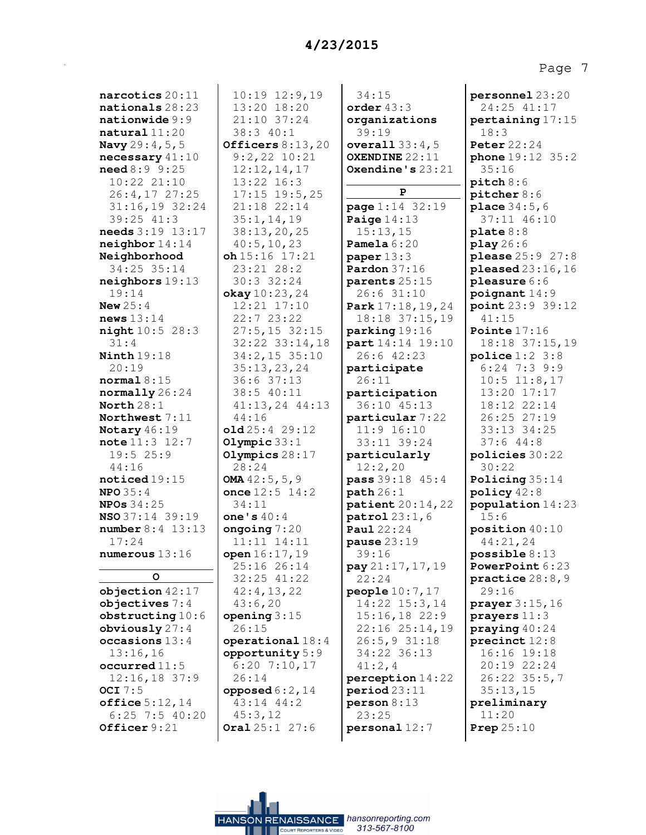Page 7

| $\verb narcotics 20:11 $                    | 10:19 12:9,19             | 34:15                     |
|---------------------------------------------|---------------------------|---------------------------|
|                                             | 13:20 18:20               |                           |
| $\mathtt{nations}$ 28:23                    |                           | order $43:3$              |
| $\mathtt{mationwide}$ $9:9$                 | 21:10 37:24               | organizations             |
| <b>natural</b> 11:20                        | 38:3 40:1                 | 39:19                     |
| Navy 29:4, 5, 5                             | Officers $8:13,20$        | over all 33:4,5           |
| $\bm{{\texttt{necessary}}}\,41\!:\!10$      | $9:2,22$ $10:21$          | OXENDINE 22:11            |
| need 8:99:25                                | 12:12,14,17               | Oxendine's $23:21$        |
| $10:22$ $21:10$                             | 13:22 16:3                |                           |
| $26:4,17$ 27:25                             | $17:15$ 19:5,25           | P                         |
| $31:16,19$ 32:24                            | 21:18 22:14               | <b>page</b> 1:14 32:19    |
| 39:25 41:3                                  | 35:1, 14, 19              | Paige $14:13$             |
| $\bm{{\sf needs}}$ $3\!:\!19$ $\,13\!:\!17$ | 38:13,20,25               | 15:13,15                  |
| neighbour14:14                              | 40:5, 10, 23              | Pamela $6:20$             |
| Neighborhood                                | $oh$ 15:16 17:21          | paper $13:3$              |
| 34:25 35:14                                 | 23:21 28:2                | Pardon $37:16$            |
| neighbours19:13                             | 30:3 32:24                | parents 25:15             |
| 19:14                                       | okay 10:23, 24            | 26:6 31:10                |
| New $25:4$                                  | 12:21 17:10               | Park 17:18, 19, 24        |
| news 13:14                                  | 22:7 23:22                | 18:18 37:15,19            |
| night 10:5 28:3                             | $27:5, 15$ 32:15          | parking 19:16             |
| 31:4                                        | 32:22 33:14,18            | part 14:14 19:10          |
| $\mathtt{Ninth}\,19\!:\!18$                 | 34:2,15 35:10             | 26:6 42:23                |
| 20:19                                       | 35:13,23,24               | participate               |
| $\tt normal 8:15$                           | 36:6 37:13                | 26:11                     |
| $\texttt{normally}\,26\,\text{:}24$         | 38:5 40:11                | participation             |
| $\texttt{North}\,28:1$                      | 41:13,24 44:13            | 36:10 45:13               |
| Northwest $7\colon\!11$                     | 44:16                     | particular 7:22           |
| Notary $46:19$                              | old25:429:12              | 11:9 16:10                |
| $\verb note 11:3 12:7$                      | Olympic $33:1$            | 33:11 39:24               |
| 19:525:9                                    | Olympics $28:17$          | particularly              |
| 44:16                                       | 28:24                     | 12:2,20                   |
| $\texttt{noticed19:15}$                     | OMA $42:5, 5, 9$          | pass 39:18 45:4           |
| <b>NPO</b> 35:4                             | once $12:5$ $14:2$        | path 26:1                 |
| NPOS34:25                                   | 34:11                     | <b>patient</b> $20:14,22$ |
| NSO 37:14 39:19                             | one's $40:4$              | patrol 23:1,6             |
| <b>number</b> 8:4 13:13                     | ongoing $7:20$            | <b>Paul</b> 22:24         |
| 17:24                                       | 11:11 14:11               | pause $23:19$             |
| numerous 13:16                              | open 16:17, 19            | 39:16                     |
|                                             | 25:16 26:14               | pay 21:17, 17, 19         |
| o                                           | 32:25 41:22               | 22:24                     |
| objection 42:17                             | 42:4,13,22                | people 10:7, 17           |
| objectives $7:4$                            | 43:6,20                   | 14:22 15:3,14             |
| obstructing 10:6                            | opening $3:15$            | $15:16,18$ 22:9           |
| obviously $27:4$                            | 26:15                     | 22:16 25:14,19            |
| occasions 13:4                              | operational $18:4$        | $26:5, 9$ 31:18           |
| 13:16,16                                    | opportunity 5:9           | 34:22 36:13               |
| $\verb occurred 11:5 $                      | $6:20$ 7:10,17            | 41:2, 4                   |
| $12:16, 18$ 37:9                            | 26:14                     | perception 14:22          |
| OCI $7:5$                                   | opposed $6:2$ , 14        | period 23:11              |
| offsetice 5:12,14                           | $43:14$ $44:2$            | person 8:13               |
| $6:25$ 7:5 40:20                            | 45:3,12                   | 23:25                     |
| Officer $9:21$                              | <b>Oral</b> $25:1$ $27:6$ | personal 12:7             |
|                                             |                           |                           |

| personnel 23:20                                                                  |
|----------------------------------------------------------------------------------|
| 24:25 41:17                                                                      |
| pertaining 17:15                                                                 |
| 18:3                                                                             |
| <b>Peter</b> 22:24                                                               |
| phone 19:12 35:2                                                                 |
| 35:16                                                                            |
| $pitch$ 8:6                                                                      |
| pitcher 8:6                                                                      |
| place 34:5,6                                                                     |
| 37:11 46:10                                                                      |
| plate 8:8                                                                        |
| play 26:6                                                                        |
| please 25:9 27:8                                                                 |
| pleased 23:16,16                                                                 |
| pleasure 6:6                                                                     |
| $\texttt{poignant}$ 14:9                                                         |
| point 23:9 39:12<br>41:15                                                        |
|                                                                                  |
| Pointe 17:16<br>18:18 37:15,19<br>police 1:2 3:8<br>6:24 7:3 9:9<br>10:5 11:8,17 |
|                                                                                  |
|                                                                                  |
|                                                                                  |
| $13:20$ $17:17$                                                                  |
|                                                                                  |
| $18:12$ 22:14<br>26:25 27:19                                                     |
| $33:13$ $34:25$                                                                  |
| 37:644:8                                                                         |
| policies 30:22                                                                   |
| 30:22                                                                            |
| Policing 35:14                                                                   |
| policy $42:8$<br>population 14:23                                                |
| 15:6                                                                             |
| position 40:10                                                                   |
| 44:21,24                                                                         |
| $\texttt{possible} 8\colon\!\!13$                                                |
| PowerPoint 6:23                                                                  |
| practice 28:8,9                                                                  |
| 29:16                                                                            |
| prayer 3:15, 16                                                                  |
| prayers 11:3                                                                     |
| praying 40:24                                                                    |
| precinct 12:8                                                                    |
|                                                                                  |
|                                                                                  |
| 16:16 19:18<br>20:19 22:24<br>26:22 35:5,7<br>35:13,15                           |
| preliminary                                                                      |
| 11:20                                                                            |
| Prep $25:10$                                                                     |

HANSON RENAISSANCE hansonreporting.com 313-567-8100 **ALL COURT REPORTERS & VIDEO**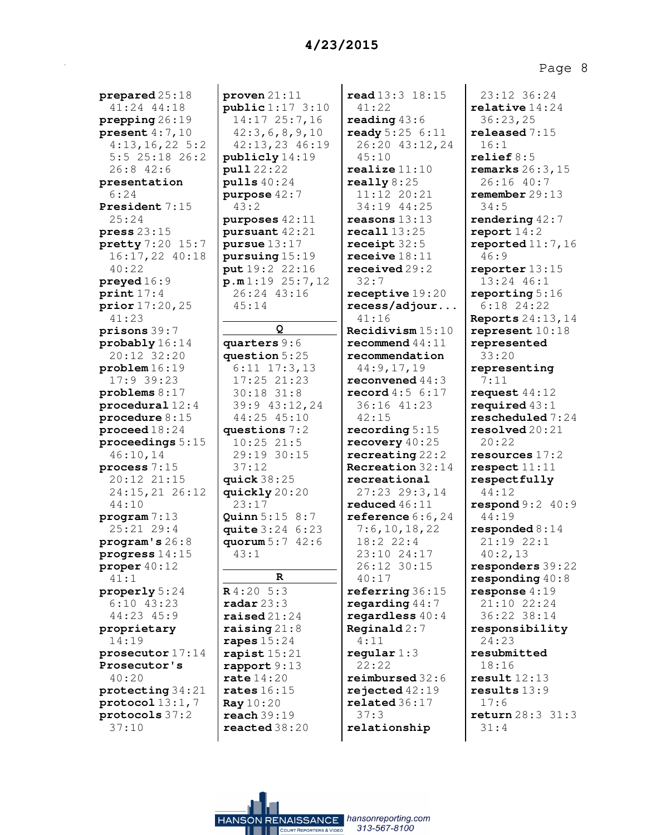**prepared** 25:18 41:24 44:18 **prepping** 26:19 **present** 4:7,10 4:13,16,22 5:2 5:5 25:18 26:2 26:8 42:6 **presentation** 6:24 **President** 7:15 25:24 **press** 23:15 **pretty** 7:20 15:7 16:17,22 40:18 40:22 **preyed** 16:9 **print** 17:4 **prior** 17:20,25 41:23 **prisons** 39:7 **probably** 16:14 20:12 32:20 **problem** 16:19 17:9 39:23 **problems** 8:17 **procedural** 12:4 **procedure** 8:15 **proceed** 18:24 **proceedings** 5:15 46:10,14 **process** 7:15 20:12 21:15 24:15,21 26:12 44:10 **program** 7:13 25:21 29:4 **program's** 26:8 **progress** 14:15 **proper** 40:12 41:1 **properly** 5:24 6:10 43:23 44:23 45:9 **proprietary** 14:19 **prosecutor** 17:14 **Prosecutor's** 40:20 **protecting** 34:21 **protocol** 13:1,7 **protocols** 37:2 37:10

**proven** 21:11 **public** 1:17 3:10 14:17 25:7,16 42:3,6,8,9,10 42:13,23 46:19 **publicly** 14:19 **pull** 22:22 **pulls** 40:24 **purpose** 42:7 43:2 **purposes** 42:11 **pursuant** 42:21 **pursue** 13:17 **pursuing** 15:19 **put** 19:2 22:16 **p.m** 1:19 25:7,12 26:24 43:16 45:14 **Q quarters** 9:6 **question** 5:25 6:11 17:3,13 17:25 21:23 30:18 31:8 39:9 43:12,24 44:25 45:10 **questions** 7:2 10:25 21:5 29:19 30:15 37:12 **quick** 38:25 **quickly** 20:20 23:17 **Quinn** 5:15 8:7 **quite** 3:24 6:23 **quorum** 5:7 42:6 43:1 **R R** 4:20 5:3 **radar** 23:3 **raised** 21:24 **raising** 21:8 **rapes** 15:24 **rapist** 15:21 **rapport** 9:13 **rate** 14:20 **rates** 16:15 **Ray** 10:20 **reach** 39:19 **reacted** 38:20

HANSON RENAISSANCE hansonreporting.com

313-567-8100

**read** 13:3 18:15 41:22 **reading** 43:6 **ready** 5:25 6:11 26:20 43:12,24 45:10 **realize** 11:10 **really** 8:25 11:12 20:21 34:19 44:25 **reasons** 13:13 **recall** 13:25 **receipt** 32:5 **receive** 18:11 **received** 29:2 32:7 **receptive** 19:20 **recess/adjour...** 41:16 **Recidivism** 15:10 **recommend** 44:11 **recommendation** 44:9,17,19 **reconvened** 44:3 **record** 4:5 6:17 36:16 41:23 42:15 **recording** 5:15 **recovery** 40:25 **recreating** 22:2 **Recreation** 32:14 **recreational** 27:23 29:3,14 **reduced** 46:11 **reference** 6:6,24 7:6,10,18,22 18:2 22:4 23:10 24:17 26:12 30:15 40:17 **referring** 36:15 **regarding** 44:7 **regardless** 40:4 **Reginald** 2:7 4:11 **regular** 1:3 22:22 **reimbursed** 32:6 **rejected** 42:19 **related** 36:17 37:3 **relationship**

23:12 36:24 **relative** 14:24 36:23,25 **released** 7:15 16:1 **relief** 8:5 **remarks** 26:3,15 26:16 40:7 **remember** 29:13 34:5 **rendering** 42:7 **report** 14:2 **reported** 11:7,16 46:9 **reporter** 13:15 13:24 46:1 **reporting** 5:16 6:18 24:22 **Reports** 24:13,14 **represent** 10:18 **represented** 33:20 **representing** 7:11 **request** 44:12 **required** 43:1 **rescheduled** 7:24 **resolved** 20:21 20:22 **resources** 17:2 **respect** 11:11 **respectfully** 44:12 **respond** 9:2 40:9 44:19 **responded** 8:14 21:19 22:1 40:2,13 **responders** 39:22 **responding** 40:8 **response** 4:19 21:10 22:24 36:22 38:14 **responsibility** 24:23 **resubmitted** 18:16 **result** 12:13 **results** 13:9 17:6 **return** 28:3 31:3 31:4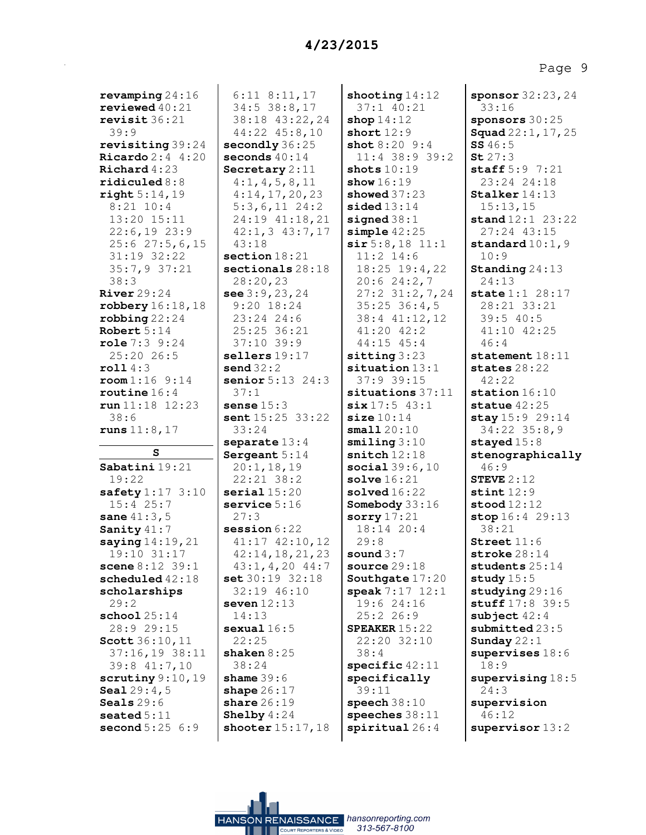| revamping $24:16$<br>revieved40:21<br>revisit 36:21<br>39:9                                                                    |
|--------------------------------------------------------------------------------------------------------------------------------|
| revisiting 39:24<br>Ricardo 2:4 4:20<br>Richard 4:23<br>$\verb ridiculed 8:8 $<br>right 5:14,19<br>$8:21$ 10:4                 |
| 13:20 15:11<br>22:6,19 23:9<br>$25:6$ 27:5,6,15<br>$31:19$ $32:22$<br>35:7,9 37:21<br>38:3                                     |
| <b>River</b> 29:24<br>robbery 16:18, 18<br>$\texttt{robbing}$ 22:24<br>Robert $5:14$<br>role 7:3 9:24<br>25:20 26:5            |
| roll4:3<br>$\texttt{room} 1:16 \quad 9:14$<br>$\texttt{routine} 16:4$<br>run 11:18 12:23<br>38:6<br>${\tt runs}$ $11:8$ , $17$ |
| $\mathbf s$                                                                                                                    |
| Sabatini 19:21                                                                                                                 |
| 19:22<br>$\texttt{safety1:17} \ 3:10$<br>$15:4$ 25:7<br>sane 41:3,5<br>Sanity 41:7                                             |
| saying $14:19$ , $21$<br>19:10 31:1<br>scene 8:12 39:1<br>scheduled 42:18<br>scholarships                                      |
| 29:2<br>$\texttt{school}~25\!:\!14$                                                                                            |
| 28:9 29:15<br>Scott 36:10, 11<br>37:16,19 38:11<br>39:8 41:7,10                                                                |
| scrutiny 9:10, 19<br><b>Seal</b> $29:4$ , $5$<br><b>Seals</b> 29:6<br>$\verb seated5:11 $<br>second 5:25 6:9                   |

6:11 8:11,17 34:5 38:8,17 38:18 43:22,24 44:22 45:8,10 **secondly** 36:25 **seconds** 40:14 **Secretary** 2:11 4:1,4,5,8,11 4:14,17,20,23 5:3,6,11 24:2 24:19 41:18,21 42:1,3 43:7,17 43:18 **section** 18:21 **sectionals** 28:18 28:20,23 **see** 3:9,23,24 9:20 18:24 23:24 24:6 25:25 36:21 37:10 39:9 **sellers** 19:17 **send** 32:2 **senior** 5:13 24:3 37:1 **sense** 15:3 **sent** 15:25 33:22 33:24 **separate** 13:4 **Sergeant** 5:14 20:1,18,19 22:21 38:2 **serial** 15:20 **service** 5:16 27:3 **session** 6:22 41:17 42:10,12 42:14,18,21,23 43:1,4,20 44:7 **set** 30:19 32:18 32:19 46:10 **seven** 12:13 14:13 **sexual** 16:5 22:25 **shaken** 8:25 38:24 **shame** 39:6 **shape** 26:17 **share** 26:19 **Shelby** 4:24 **shooter** 15:17,18

**shooting** 14:12 37:1 40:21 **shop** 14:12 **short** 12:9 **shot** 8:20 9:4 11:4 38:9 39:2 **shots** 10:19 **show** 16:19 **showed** 37:23 **sided** 13:14 **signed** 38:1 **simple** 42:25 **sir** 5:8,18 11:1 11:2 14:6 18:25 19:4,22 20:6 24:2,7 27:2 31:2,7,24 35:25 36:4,5 38:4 41:12,12 41:20 42:2 44:15 45:4 **sitting** 3:23 **situation** 13:1 37:9 39:15 **situations** 37:11 **six** 17:5 43:1 **size** 10:14 **small** 20:10 **smiling** 3:10 **snitch** 12:18 **social** 39:6,10 **solve** 16:21 **solved** 16:22 **Somebody** 33:16 **sorry** 17:21 18:14 20:4 29:8 **sound** 3:7 **source** 29:18 **Southgate** 17:20 **speak** 7:17 12:1 19:6 24:16 25:2 26:9 **SPEAKER** 15:22 22:20 32:10 38:4 **specific** 42:11 **specifically** 39:11 **speech** 38:10 **speeches** 38:11 **spiritual** 26:4

**sponsor** 32:23,24 33:16 **sponsors** 30:25 **Squad** 22:1,17,25 **SS** 46:5 **St** 27:3 **staff** 5:9 7:21 23:24 24:18 **Stalker** 14:13 15:13,15 **stand** 12:1 23:22 27:24 43:15 **standard** 10:1,9 10:9 **Standing** 24:13 24:13 **state** 1:1 28:17 28:21 33:21 39:5 40:5 41:10 42:25 46:4 **statement** 18:11 **states** 28:22 42:22 **station** 16:10 **statue** 42:25 **stay** 15:9 29:14 34:22 35:8,9 **stayed** 15:8 **stenographically** 46:9 **STEVE** 2:12 **stint** 12:9 **stood** 12:12 **stop** 16:4 29:13 38:21 **Street** 11:6 **stroke** 28:14 **students** 25:14 **study** 15:5 **studying** 29:16 **stuff** 17:8 39:5 **subject** 42:4 **submitted** 23:5 **Sunday** 22:1 **supervises** 18:6 18:9 **supervising** 18:5 24:3 **supervision** 46:12 **supervisor** 13:2

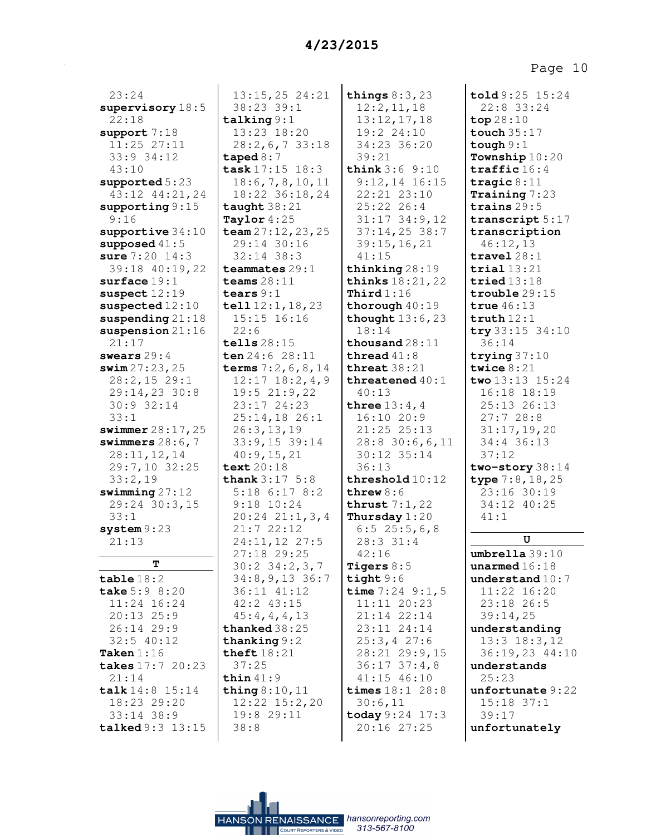23:24 **supervisory** 18:5 22:18 **support** 7:18 11:25 27:11 33:9 34:12 43:10 **supported** 5:23 43:12 44:21,24 **supporting** 9:15 9:16 **supportive** 34:10 **supposed** 41:5 **sure** 7:20 14:3 39:18 40:19,22 **surface** 19:1 **suspect** 12:19 **suspected** 12:10 **suspending** 21:18 **suspension** 21:16 21:17 **swears** 29:4 **swim** 27:23,25 28:2,15 29:1 29:14,23 30:8 30:9 32:14 33:1 **swimmer** 28:17,25 **swimmers** 28:6,7 28:11,12,14 29:7,10 32:25 33:2,19 **swimming** 27:12 29:24 30:3,15 33:1 **system** 9:23 21:13 **T table** 18:2 **take** 5:9 8:20 11:24 16:24 20:13 25:9 26:14 29:9 32:5 40:12 **Taken** 1:16 **takes** 17:7 20:23 21:14 **talk** 14:8 15:14 18:23 29:20 33:14 38:9 **talked** 9:3 13:15

13:15,25 24:21 38:23 39:1 **talking** 9:1 13:23 18:20 28:2,6,7 33:18 **taped** 8:7 **task** 17:15 18:3 18:6,7,8,10,11 18:22 36:18,24 **taught** 38:21 **Taylor** 4:25 **team** 27:12,23,25 29:14 30:16 32:14 38:3 **teammates** 29:1 **teams** 28:11 **tears** 9:1 **tell** 12:1,18,23 15:15 16:16 22:6 **tells** 28:15 **ten** 24:6 28:11 **terms** 7:2,6,8,14 12:17 18:2,4,9 19:5 21:9,22 23:17 24:23 25:14,18 26:1 26:3,13,19 33:9,15 39:14 40:9,15,21 **text** 20:18 **thank** 3:17 5:8 5:18 6:17 8:2 9:18 10:24 20:24 21:1,3,4 21:7 22:12 24:11,12 27:5 27:18 29:25 30:2 34:2,3,7 34:8,9,13 36:7 36:11 41:12 42:2 43:15 45:4,4,4,13 **thanked** 38:25 **thanking** 9:2 **theft** 18:21 37:25 **thin** 41:9 **thing** 8:10,11 12:22 15:2,20 19:8 29:11 38:8

**things** 8:3,23 12:2,11,18 13:12,17,18 19:2 24:10 34:23 36:20 39:21 **think** 3:6 9:10 9:12,14 16:15 22:21 23:10 25:22 26:4 31:17 34:9,12 37:14,25 38:7 39:15,16,21 41:15 **thinking** 28:19 **thinks** 18:21,22 **Third** 1:16 **thorough** 40:19 **thought** 13:6,23 18:14 **thousand** 28:11 **thread** 41:8 **threat** 38:21 **threatened** 40:1 40:13 **three** 13:4,4 16:10 20:9 21:25 25:13 28:8 30:6,6,11 30:12 35:14 36:13 **threshold** 10:12 **threw** 8:6 **thrust** 7:1,22 **Thursday** 1:20 6:5 25:5,6,8 28:3 31:4 42:16 **Tigers** 8:5 **tight** 9:6 **time** 7:24 9:1,5 11:11 20:23 21:14 22:14 23:11 24:14 25:3,4 27:6 28:21 29:9,15 36:17 37:4,8 41:15 46:10 **times** 18:1 28:8 30:6,11 **today** 9:24 17:3 20:16 27:25

**told** 9:25 15:24 22:8 33:24 **top** 28:10 **touch** 35:17 **tough** 9:1 **Township** 10:20 **traffic** 16:4 **tragic** 8:11 **Training** 7:23 **trains** 29:5 **transcript** 5:17 **transcription** 46:12,13 **travel** 28:1 **trial** 13:21 **tried** 13:18 **trouble** 29:15 **true** 46:13 **truth** 12:1 **try** 33:15 34:10 36:14 **trying** 37:10 **twice** 8:21 **two** 13:13 15:24 16:18 18:19 25:13 26:13 27:7 28:8 31:17,19,20 34:4 36:13 37:12 **two-story** 38:14 **type** 7:8,18,25 23:16 30:19 34:12 40:25 41:1 **U umbrella** 39:10 **unarmed** 16:18 **understand** 10:7 11:22 16:20 23:18 26:5 39:14,25 **understanding** 13:3 18:3,12

36:19,23 44:10 **understands** 25:23 **unfortunate** 9:22 15:18 37:1 39:17 **unfortunately**

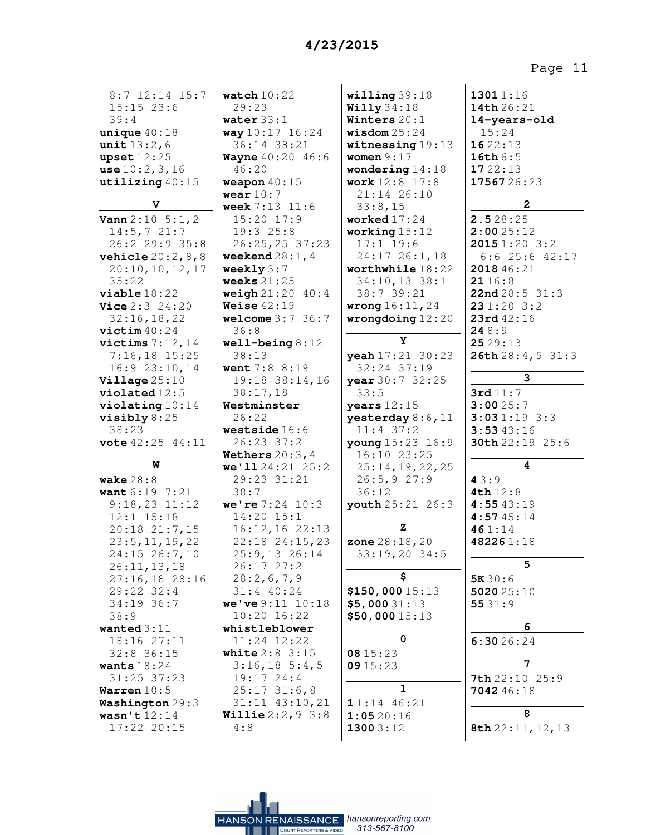| 8:7 12:14 15:7                      | watch $10:22$                    | willing 39:18                         | 13011:16            |
|-------------------------------------|----------------------------------|---------------------------------------|---------------------|
| $15:15$ 23:6                        | 29:23                            | Willy34:18                            | 14th 26:21          |
| 39:4                                | water $33:1$                     | Winters 20:1                          | 14-years-old        |
| unique $40:18$                      | way 10:17 16:24                  | wisdom $25:24$                        | 15:24               |
| <b>unit</b> $13:2,6$                | 36:14 38:21                      | witnessing $19:13$<br>women $9:17$    | 1622:13<br>16th 6:5 |
| upset $12:25$                       | <b>Wayne</b> 40:20 46:6<br>46:20 |                                       | 1722:13             |
| use $10:2,3,16$<br>utilizing 40:15  | weapon $40:15$                   | wondering $14:18$<br>work $12:8$ 17:8 | 1756726:23          |
|                                     | wear $10:7$                      | 21:14 26:10                           |                     |
| V                                   | <b>week</b> $7:13$ $11:6$        | 33:8,15                               | $\overline{a}$      |
| <b>Vann</b> $2:10 \ 5:1, 2$         | 15:20 17:9                       | worked $17:24$                        | 2.528:25            |
| 14:5, 721:7                         | 19:325:8                         | working $15:12$                       | 2:0025:12           |
| 26:2 29:9 35:8                      | 26:25,25 37:23                   | $17:1$ 19:6                           | 20151:203:2         |
| <b>vehicle</b> $20:2, 8, 8$         | weekend $28:1, 4$                | 24:17 26:1,18                         | $6:6$ 25:6 42:17    |
| 20:10, 10, 12, 17                   | weekly $3:7$                     | worthwhile 18:22                      | 2018 46:21          |
| 35:22                               | weeks $21:25$                    | 34:10,13 38:1                         | 21 16 : 8           |
| viable 18:22                        | weigh $21:20$ $40:4$             | 38:7 39:21                            | 22nd28:531:3        |
| <b>Vice</b> $2:3$ $24:20$           | Weise $42:19$                    | <b>wrong</b> $16:11, 24$              | 231:203:2           |
| 32:16, 18, 22                       | welcome $3:7$ $36:7$             | wrongdoing $12:20$                    | 23rd 42:16          |
| $\texttt{victim}$ 40:24             | 36:8                             |                                       | 248:9               |
| victims $7:12,14$                   | well-being $8:12$                | Y                                     | 25 29:13            |
| $7:16,18$ 15:25                     | 38:13                            | yeah 17:21 30:23                      | 26th 28:4, 5 31:3   |
| $16:9$ $23:10,14$                   | went 7:8 8:19                    | 32:24 37:19                           |                     |
| Village $25:10$                     | 19:18 38:14,16                   | year 30:7 32:25                       | 3                   |
| $violated 12:5$                     | 38:17,18                         | 33:5                                  | 3rd11:7             |
| $\texttt{violating} 10:14$          | Westminster                      | years $12:15$                         | 3:0025:7            |
| visibly $8:25$                      | 26:22                            | yesterday 8:6, 11                     | 3:031:193:3         |
| 38:23                               | westside $16:6$                  | $11:4$ 37:2                           | 3:5343:16           |
| <b>vote</b> 42:25 44:11             | 26:23 37:2                       | young 15:23 16:9                      | 30th 22:19 25:6     |
|                                     | Wethers $20:3, 4$                | $16:10$ $23:25$                       |                     |
| W                                   | we'1124:2125:2                   | 25:14,19,22,25                        | 4                   |
| wake $28:8$                         | 29:23 31:21                      | 26:5,927:9                            | 43:9                |
| want 6:19 7:21                      | 38:7                             | 36:12                                 | <b>4th</b> $12:8$   |
| $9:18,23$ $11:12$<br>$12:1$ $15:18$ | we're $7:24$ 10:3                | youth 25:21 26:3                      | 4:5543:19           |
|                                     | 14:20 15:1<br>$16:12, 16$ 22:13  | z                                     | 4:5745:14           |
| 20:18 21:7,15<br>23:5, 11, 19, 22   | 22:18 24:15,23                   | <b>zone</b> $28:18, 20$               | 461:14<br>482261:18 |
| 24:15 26:7,10                       | $25:9,13$ 26:14                  | 33:19,20 34:5                         |                     |
| 26:11, 13, 18                       | 26:1727:2                        |                                       | 5                   |
| 27:16,18 28:16                      | 28:2,6,7,9                       | \$                                    | 5K30:6              |
| 29:22 32:4                          | $31:4$ 40:24                     | \$150,00015:13                        | 502025:10           |
| 34:19 36:7                          | we've 9:11 10:18                 | \$5,00031:13                          | 5531:9              |
| 38:9                                | 10:20 16:22                      | \$50,00015:13                         |                     |
| wanted $3:11$                       | whistleblower                    |                                       | 6                   |
| 18:16 27:11                         | 11:24 12:22                      | 0                                     | 6:3026:24           |
| $32:8$ 36:15                        | <b>white</b> $2:8$ 3:15          | 08 15:23                              |                     |
| wants $18:24$                       | $3:16, 18$ 5:4,5                 | 0915:23                               | 7                   |
| 31:25 37:23                         | $19:17$ $24:4$                   |                                       | 7th 22:10 25:9      |
| Warren $10:5$                       | 25:1731:6,8                      | 1                                     | 7042 46:18          |
| Washington 29:3                     | 31:11 43:10,21                   | $11:14$ 46:21                         |                     |
| wasn't $12:14$                      | <b>Willie</b> $2:2,9$ 3:8        | 1:0520:16                             | 8                   |
| 17:22 20:15                         | 4:8                              | 13003:12                              | 8th 22:11, 12, 13   |
|                                     |                                  |                                       |                     |